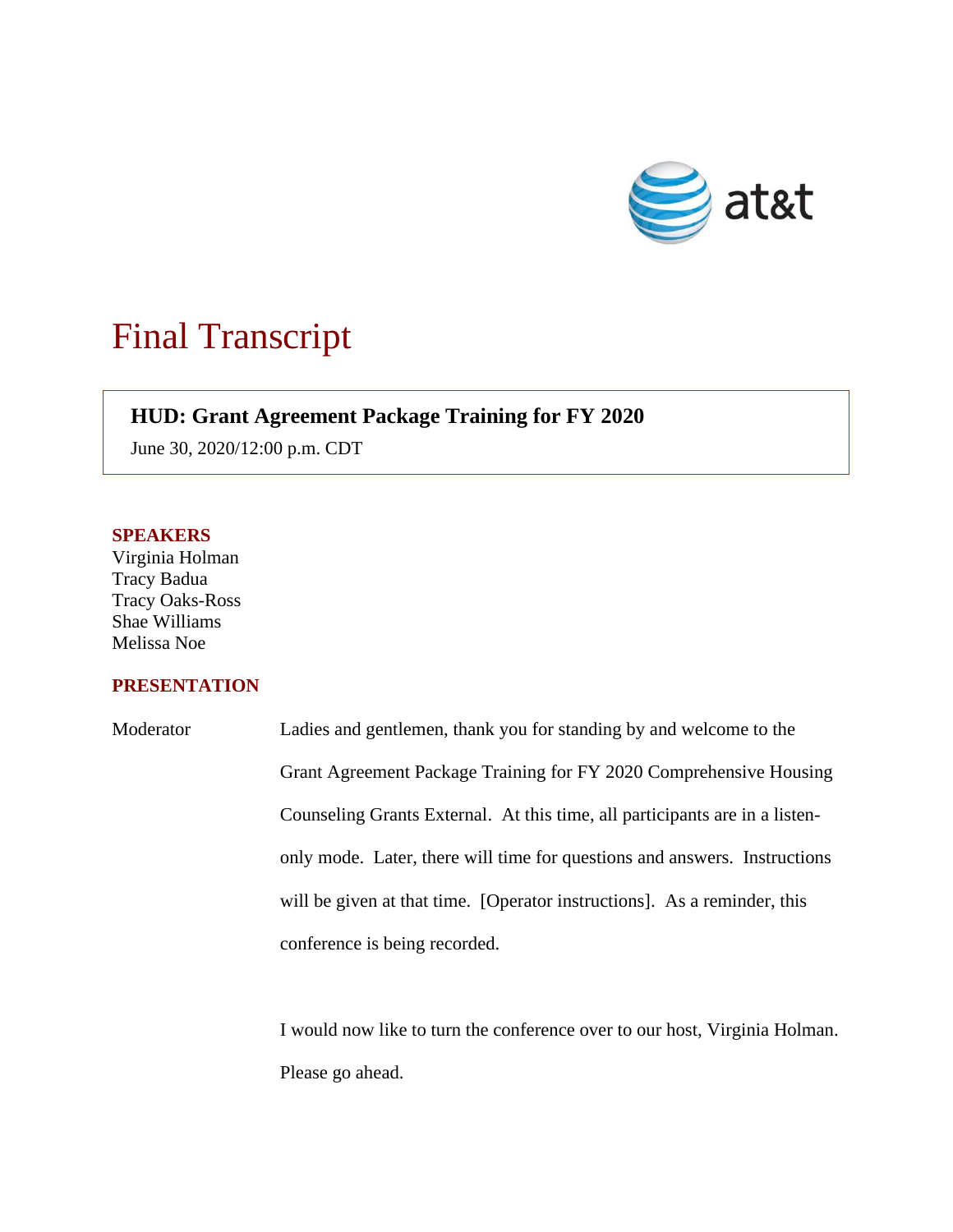

## Final Transcript

## **HUD: Grant Agreement Package Training for FY 2020**

June 30, 2020/12:00 p.m. CDT

## **SPEAKERS**

Virginia Holman Tracy Badua Tracy Oaks-Ross Shae Williams Melissa Noe

## **PRESENTATION**

| Moderator | Ladies and gentlemen, thank you for standing by and welcome to the          |
|-----------|-----------------------------------------------------------------------------|
|           | Grant Agreement Package Training for FY 2020 Comprehensive Housing          |
|           | Counseling Grants External. At this time, all participants are in a listen- |
|           | only mode. Later, there will time for questions and answers. Instructions   |
|           | will be given at that time. [Operator instructions]. As a reminder, this    |
|           | conference is being recorded.                                               |

I would now like to turn the conference over to our host, Virginia Holman. Please go ahead.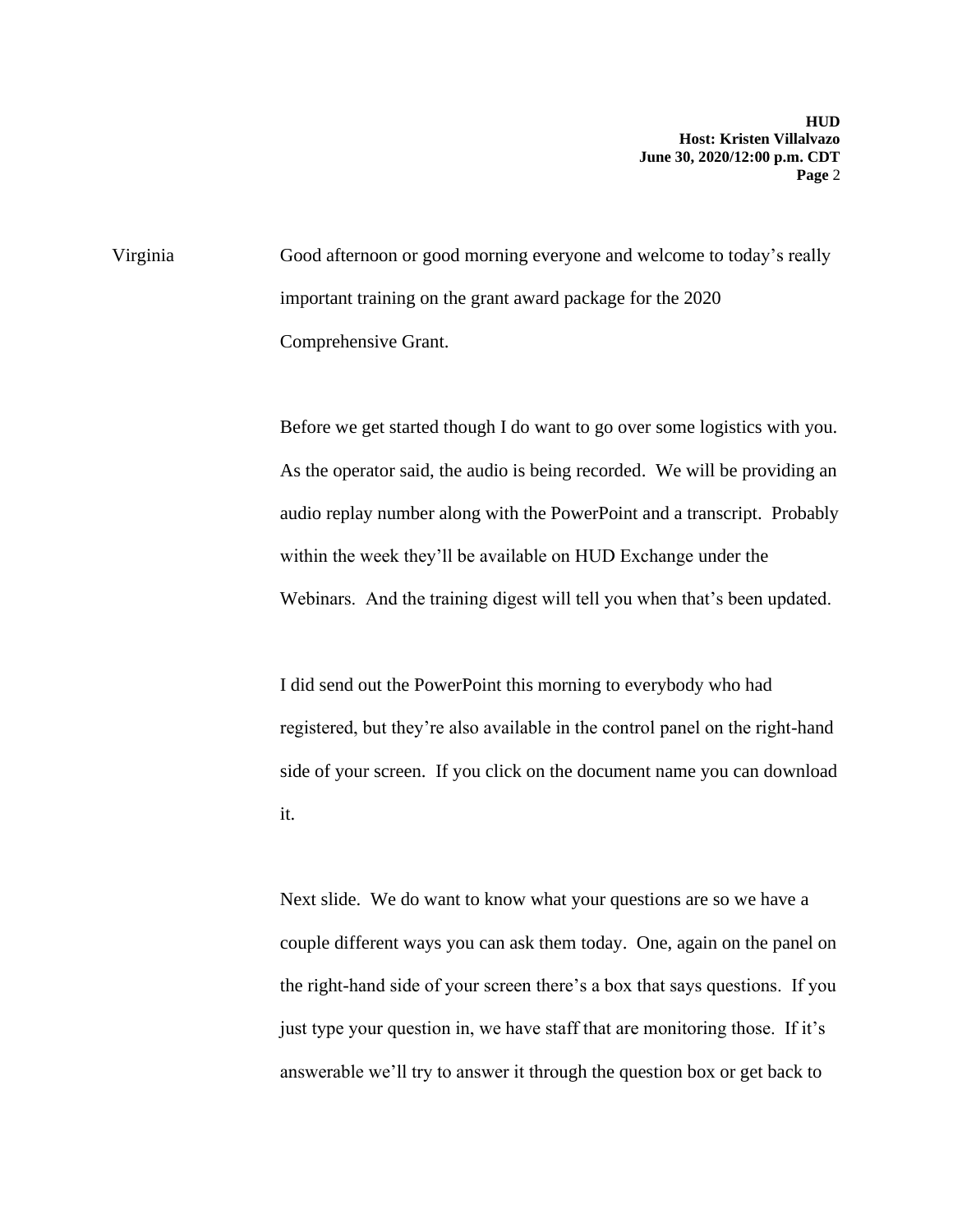Virginia Good afternoon or good morning everyone and welcome to today's really important training on the grant award package for the 2020 Comprehensive Grant.

> Before we get started though I do want to go over some logistics with you. As the operator said, the audio is being recorded. We will be providing an audio replay number along with the PowerPoint and a transcript. Probably within the week they'll be available on HUD Exchange under the Webinars. And the training digest will tell you when that's been updated.

> I did send out the PowerPoint this morning to everybody who had registered, but they're also available in the control panel on the right-hand side of your screen. If you click on the document name you can download it.

> Next slide. We do want to know what your questions are so we have a couple different ways you can ask them today. One, again on the panel on the right-hand side of your screen there's a box that says questions. If you just type your question in, we have staff that are monitoring those. If it's answerable we'll try to answer it through the question box or get back to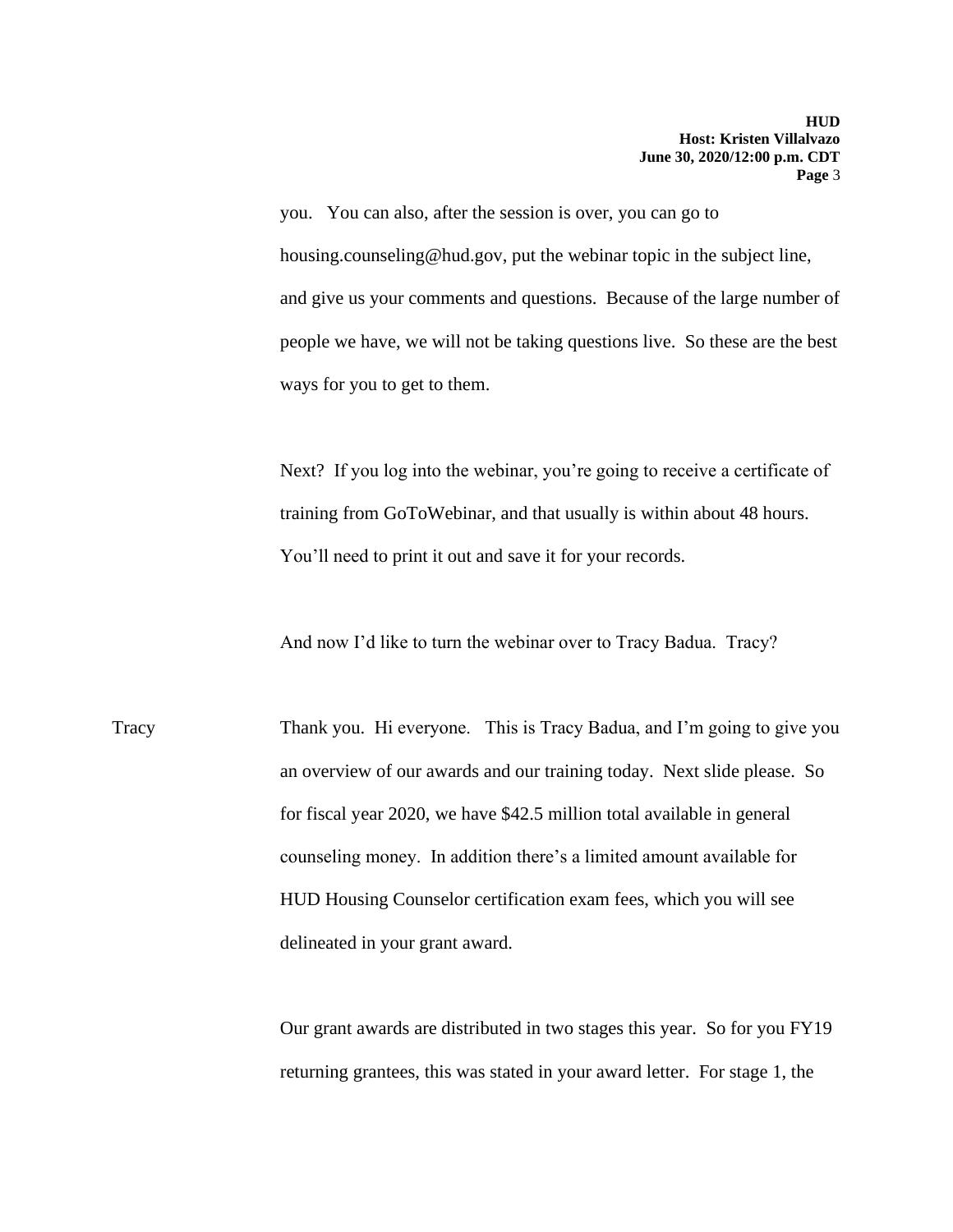you. You can also, after the session is over, you can go to housing.counseling@hud.gov, put the webinar topic in the subject line, and give us your comments and questions. Because of the large number of people we have, we will not be taking questions live. So these are the best ways for you to get to them.

Next? If you log into the webinar, you're going to receive a certificate of training from GoToWebinar, and that usually is within about 48 hours. You'll need to print it out and save it for your records.

And now I'd like to turn the webinar over to Tracy Badua. Tracy?

Tracy Thank you. Hi everyone. This is Tracy Badua, and I'm going to give you an overview of our awards and our training today. Next slide please. So for fiscal year 2020, we have \$42.5 million total available in general counseling money. In addition there's a limited amount available for HUD Housing Counselor certification exam fees, which you will see delineated in your grant award.

> Our grant awards are distributed in two stages this year. So for you FY19 returning grantees, this was stated in your award letter. For stage 1, the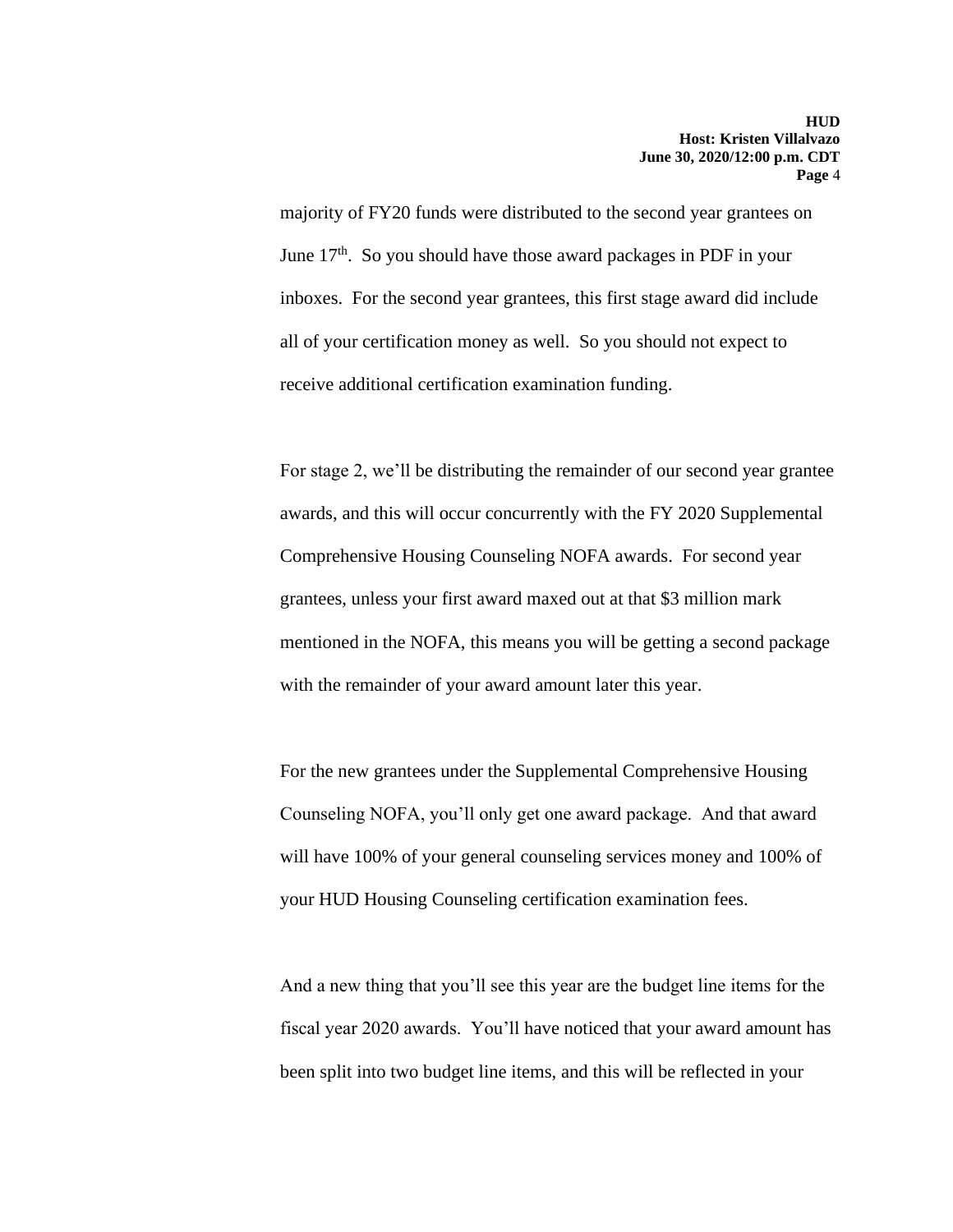majority of FY20 funds were distributed to the second year grantees on June  $17<sup>th</sup>$ . So you should have those award packages in PDF in your inboxes. For the second year grantees, this first stage award did include all of your certification money as well. So you should not expect to receive additional certification examination funding.

For stage 2, we'll be distributing the remainder of our second year grantee awards, and this will occur concurrently with the FY 2020 Supplemental Comprehensive Housing Counseling NOFA awards. For second year grantees, unless your first award maxed out at that \$3 million mark mentioned in the NOFA, this means you will be getting a second package with the remainder of your award amount later this year.

For the new grantees under the Supplemental Comprehensive Housing Counseling NOFA, you'll only get one award package. And that award will have 100% of your general counseling services money and 100% of your HUD Housing Counseling certification examination fees.

And a new thing that you'll see this year are the budget line items for the fiscal year 2020 awards. You'll have noticed that your award amount has been split into two budget line items, and this will be reflected in your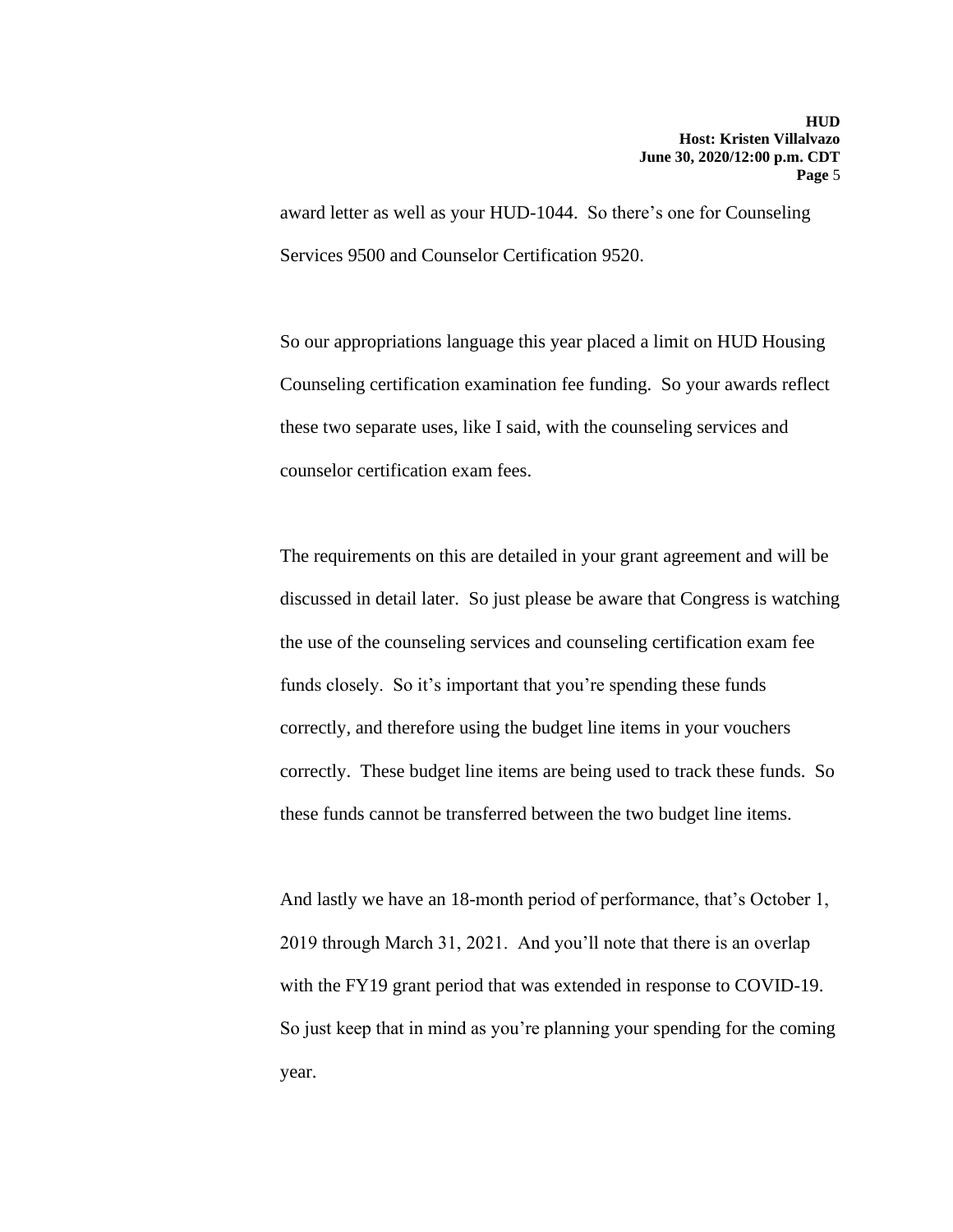award letter as well as your HUD-1044. So there's one for Counseling Services 9500 and Counselor Certification 9520.

So our appropriations language this year placed a limit on HUD Housing Counseling certification examination fee funding. So your awards reflect these two separate uses, like I said, with the counseling services and counselor certification exam fees.

The requirements on this are detailed in your grant agreement and will be discussed in detail later. So just please be aware that Congress is watching the use of the counseling services and counseling certification exam fee funds closely. So it's important that you're spending these funds correctly, and therefore using the budget line items in your vouchers correctly. These budget line items are being used to track these funds. So these funds cannot be transferred between the two budget line items.

And lastly we have an 18-month period of performance, that's October 1, 2019 through March 31, 2021. And you'll note that there is an overlap with the FY19 grant period that was extended in response to COVID-19. So just keep that in mind as you're planning your spending for the coming year.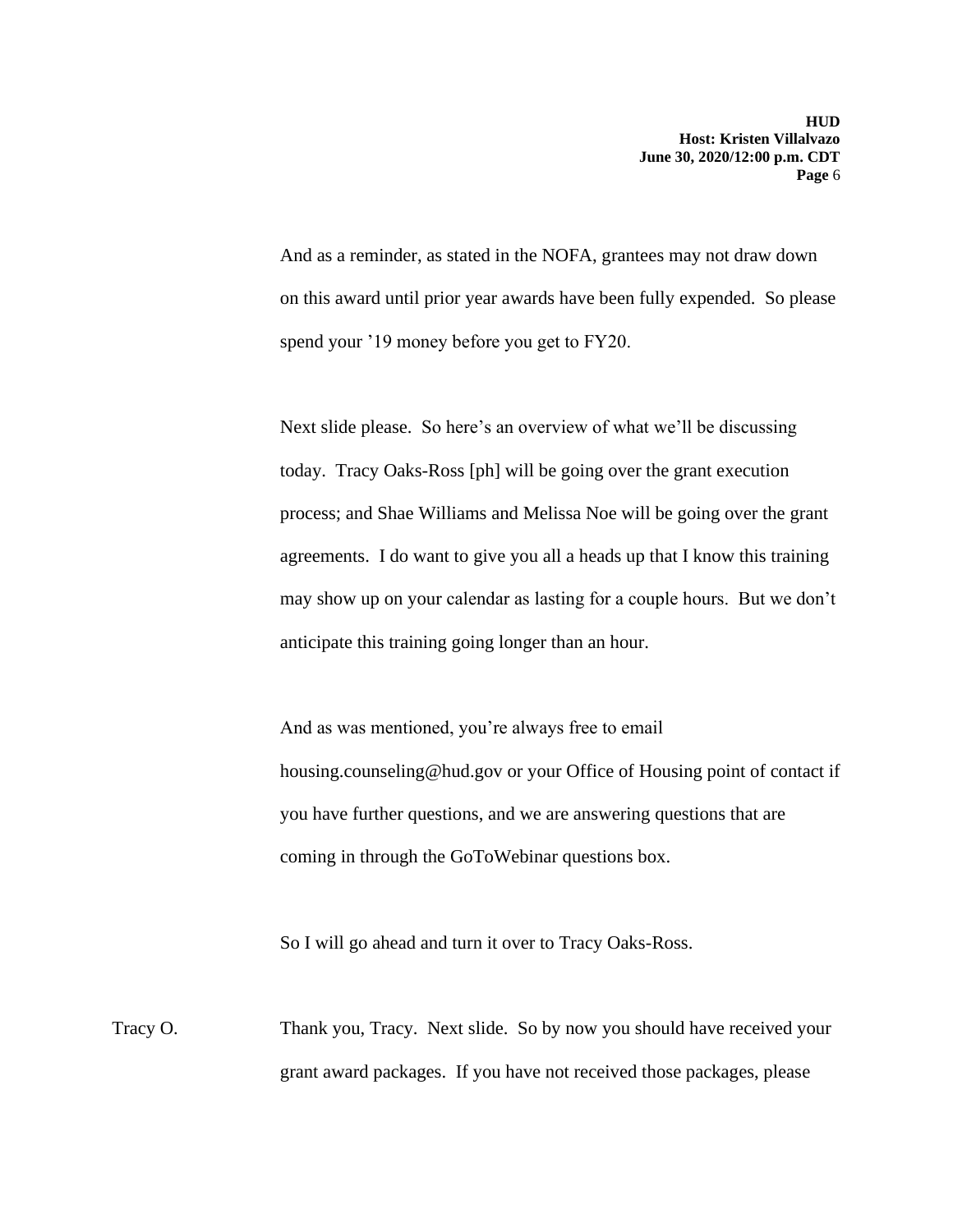And as a reminder, as stated in the NOFA, grantees may not draw down on this award until prior year awards have been fully expended. So please spend your '19 money before you get to FY20.

Next slide please. So here's an overview of what we'll be discussing today. Tracy Oaks-Ross [ph] will be going over the grant execution process; and Shae Williams and Melissa Noe will be going over the grant agreements. I do want to give you all a heads up that I know this training may show up on your calendar as lasting for a couple hours. But we don't anticipate this training going longer than an hour.

And as was mentioned, you're always free to email housing.counseling@hud.gov or your Office of Housing point of contact if you have further questions, and we are answering questions that are coming in through the GoToWebinar questions box.

So I will go ahead and turn it over to Tracy Oaks-Ross.

Tracy O. Thank you, Tracy. Next slide. So by now you should have received your grant award packages. If you have not received those packages, please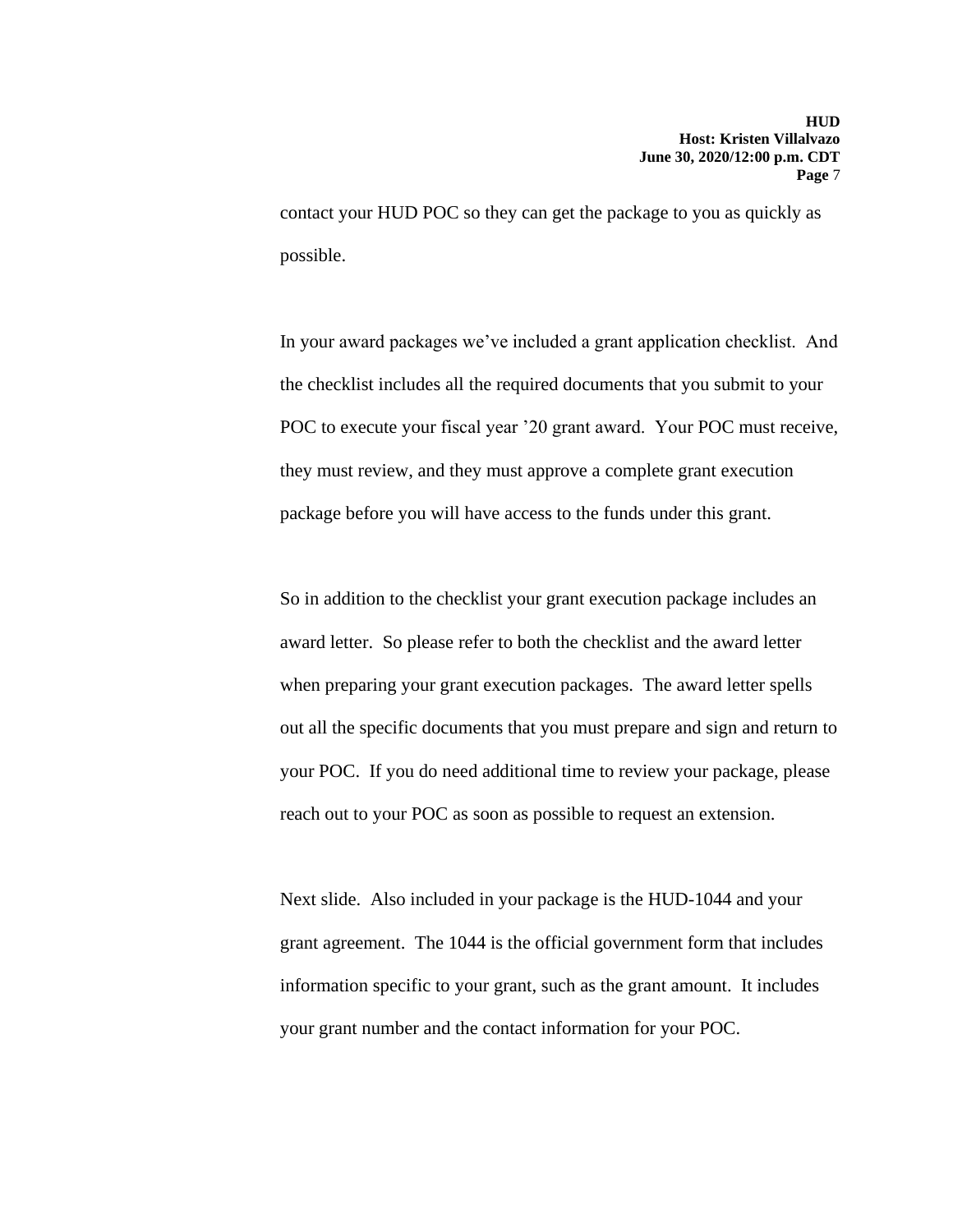contact your HUD POC so they can get the package to you as quickly as possible.

In your award packages we've included a grant application checklist. And the checklist includes all the required documents that you submit to your POC to execute your fiscal year '20 grant award. Your POC must receive, they must review, and they must approve a complete grant execution package before you will have access to the funds under this grant.

So in addition to the checklist your grant execution package includes an award letter. So please refer to both the checklist and the award letter when preparing your grant execution packages. The award letter spells out all the specific documents that you must prepare and sign and return to your POC. If you do need additional time to review your package, please reach out to your POC as soon as possible to request an extension.

Next slide. Also included in your package is the HUD-1044 and your grant agreement. The 1044 is the official government form that includes information specific to your grant, such as the grant amount. It includes your grant number and the contact information for your POC.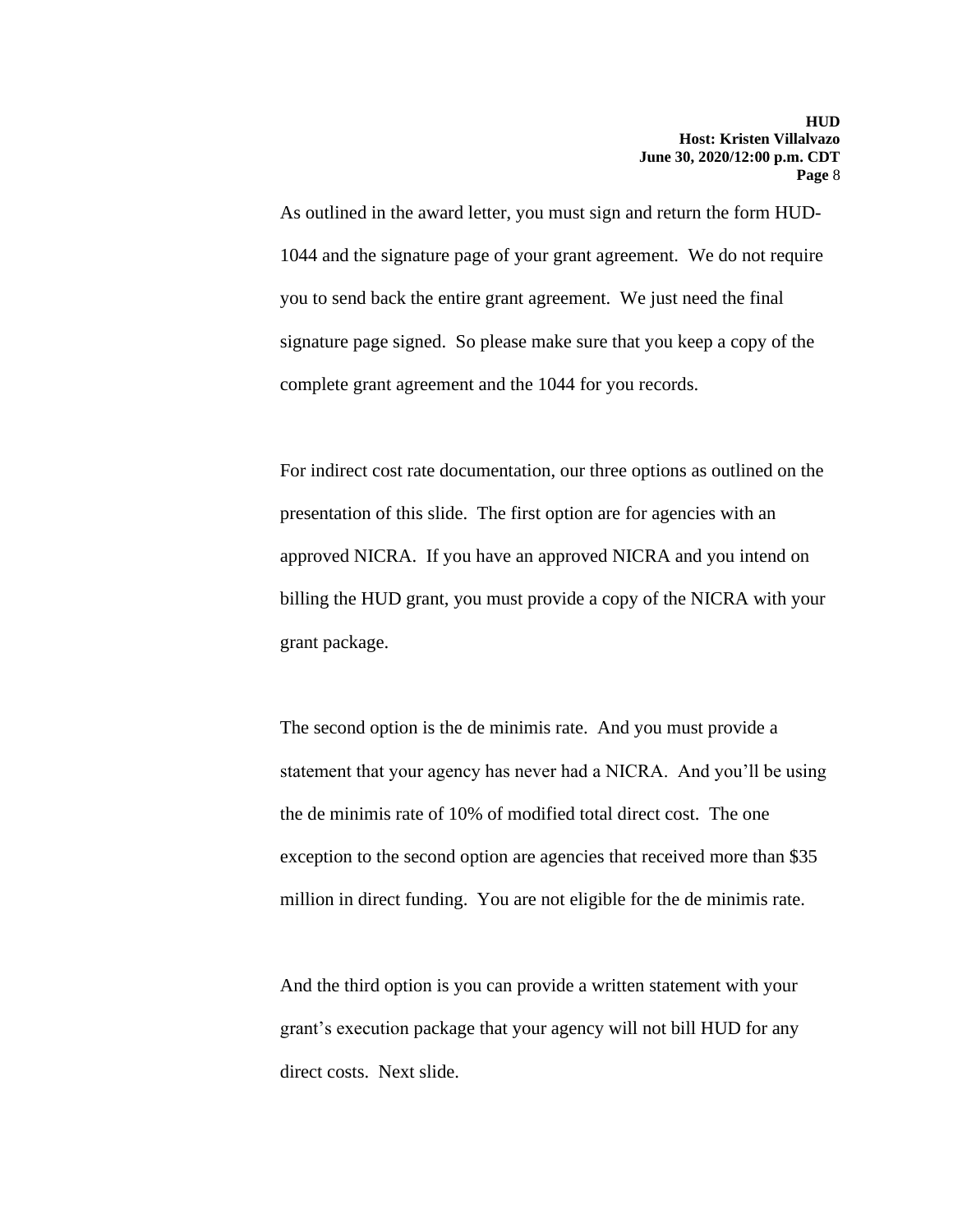As outlined in the award letter, you must sign and return the form HUD-1044 and the signature page of your grant agreement. We do not require you to send back the entire grant agreement. We just need the final signature page signed. So please make sure that you keep a copy of the complete grant agreement and the 1044 for you records.

For indirect cost rate documentation, our three options as outlined on the presentation of this slide. The first option are for agencies with an approved NICRA. If you have an approved NICRA and you intend on billing the HUD grant, you must provide a copy of the NICRA with your grant package.

The second option is the de minimis rate. And you must provide a statement that your agency has never had a NICRA. And you'll be using the de minimis rate of 10% of modified total direct cost. The one exception to the second option are agencies that received more than \$35 million in direct funding. You are not eligible for the de minimis rate.

And the third option is you can provide a written statement with your grant's execution package that your agency will not bill HUD for any direct costs. Next slide.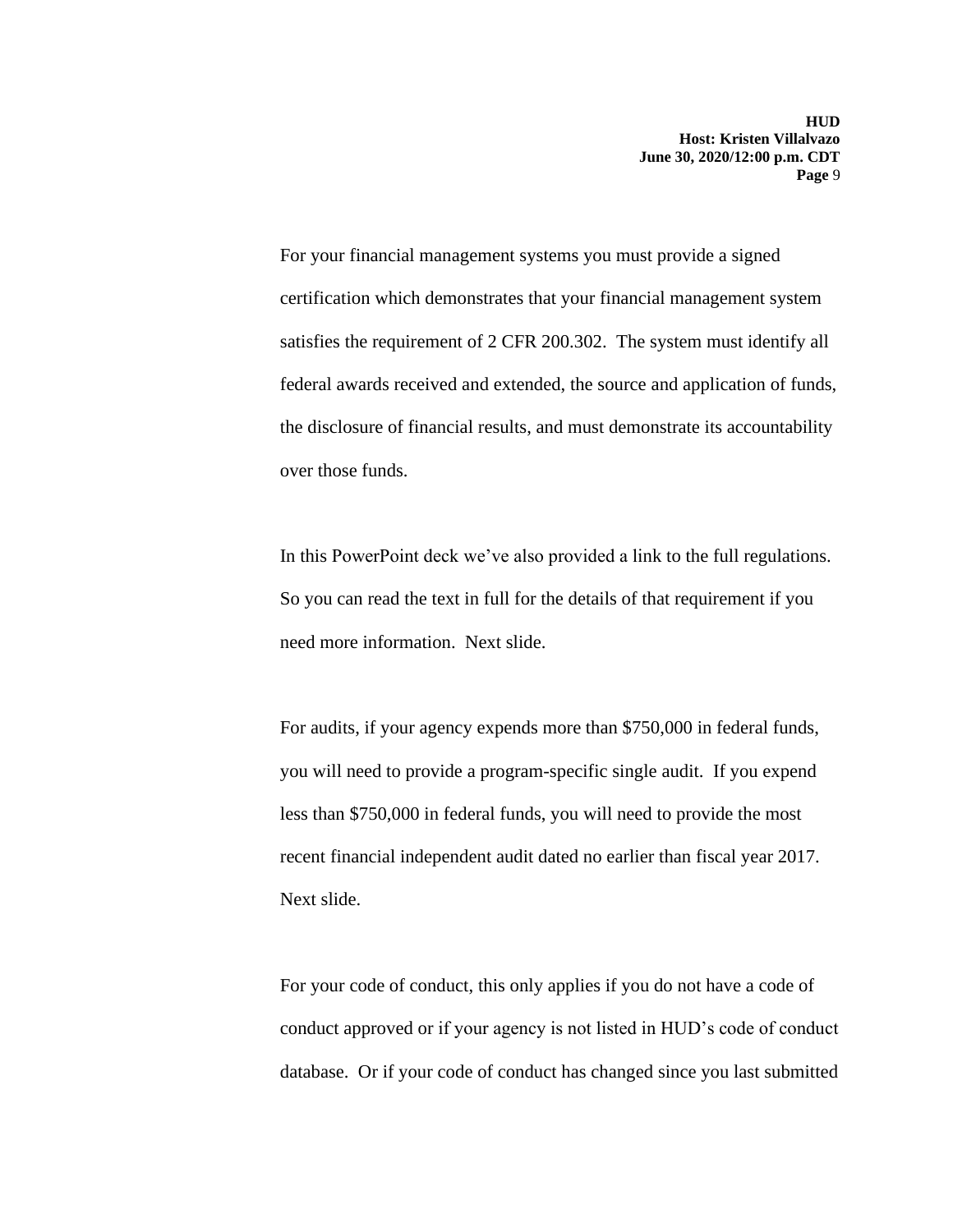For your financial management systems you must provide a signed certification which demonstrates that your financial management system satisfies the requirement of 2 CFR 200.302. The system must identify all federal awards received and extended, the source and application of funds, the disclosure of financial results, and must demonstrate its accountability over those funds.

In this PowerPoint deck we've also provided a link to the full regulations. So you can read the text in full for the details of that requirement if you need more information. Next slide.

For audits, if your agency expends more than \$750,000 in federal funds, you will need to provide a program-specific single audit. If you expend less than \$750,000 in federal funds, you will need to provide the most recent financial independent audit dated no earlier than fiscal year 2017. Next slide.

For your code of conduct, this only applies if you do not have a code of conduct approved or if your agency is not listed in HUD's code of conduct database. Or if your code of conduct has changed since you last submitted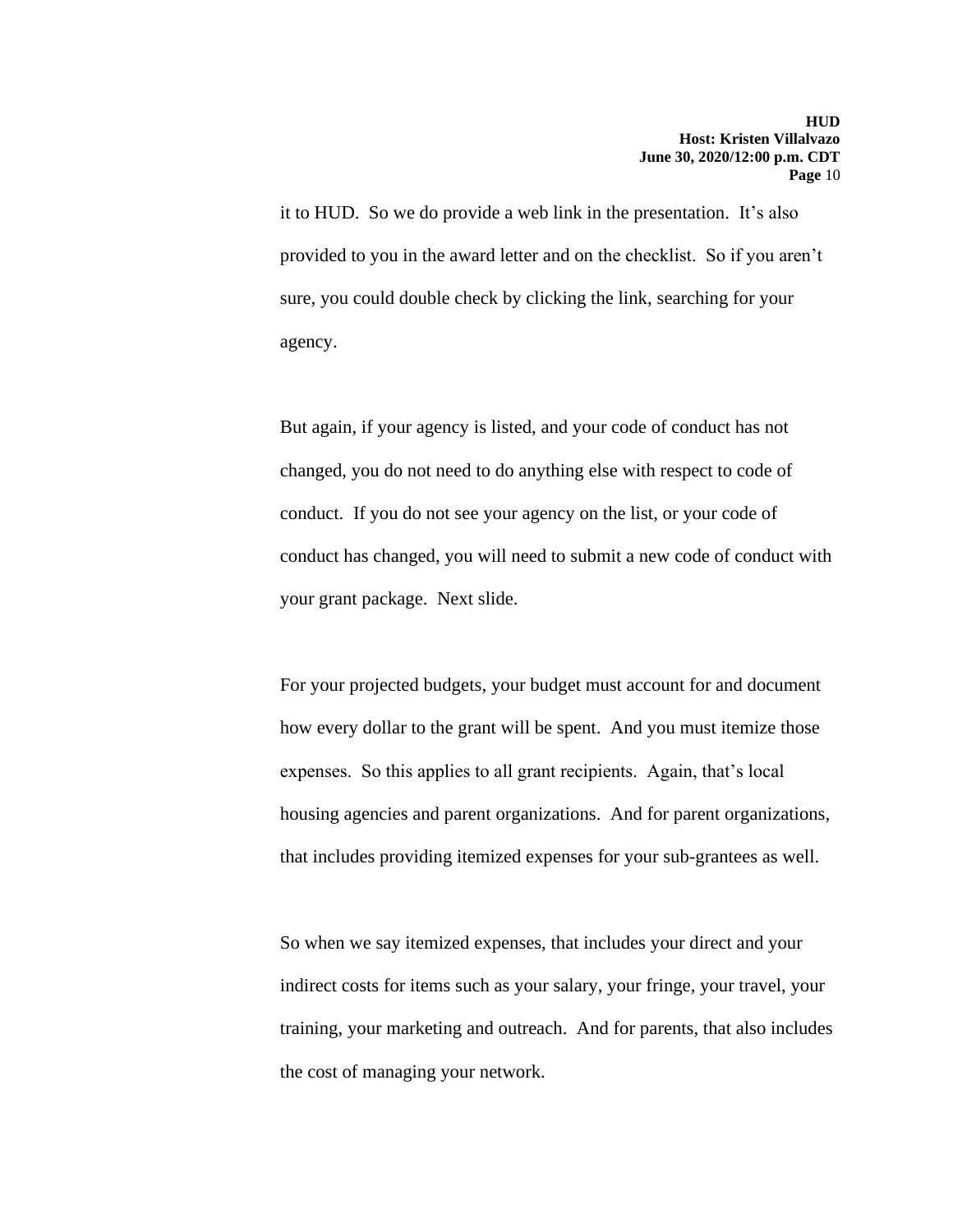it to HUD. So we do provide a web link in the presentation. It's also provided to you in the award letter and on the checklist. So if you aren't sure, you could double check by clicking the link, searching for your agency.

But again, if your agency is listed, and your code of conduct has not changed, you do not need to do anything else with respect to code of conduct. If you do not see your agency on the list, or your code of conduct has changed, you will need to submit a new code of conduct with your grant package. Next slide.

For your projected budgets, your budget must account for and document how every dollar to the grant will be spent. And you must itemize those expenses. So this applies to all grant recipients. Again, that's local housing agencies and parent organizations. And for parent organizations, that includes providing itemized expenses for your sub-grantees as well.

So when we say itemized expenses, that includes your direct and your indirect costs for items such as your salary, your fringe, your travel, your training, your marketing and outreach. And for parents, that also includes the cost of managing your network.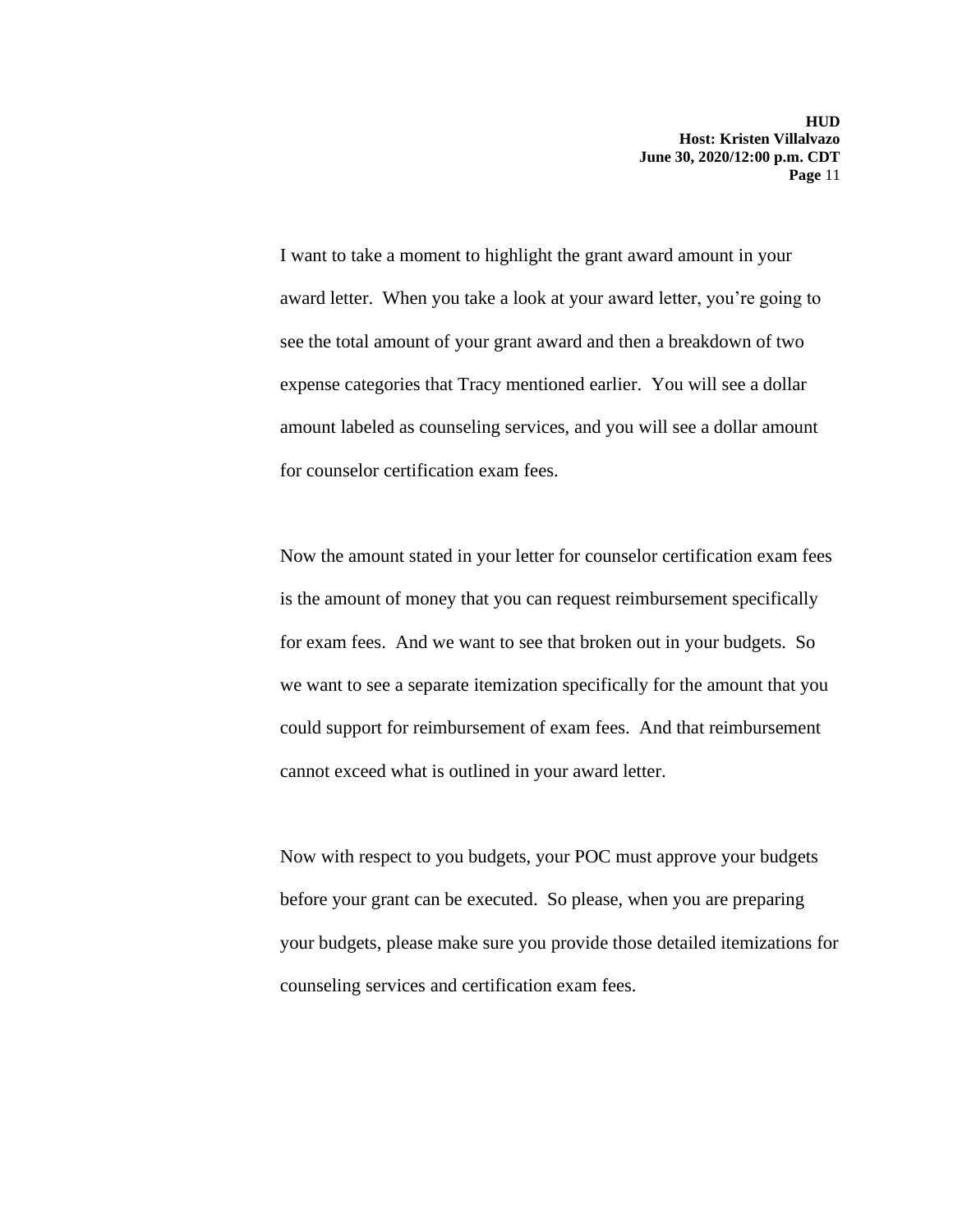I want to take a moment to highlight the grant award amount in your award letter. When you take a look at your award letter, you're going to see the total amount of your grant award and then a breakdown of two expense categories that Tracy mentioned earlier. You will see a dollar amount labeled as counseling services, and you will see a dollar amount for counselor certification exam fees.

Now the amount stated in your letter for counselor certification exam fees is the amount of money that you can request reimbursement specifically for exam fees. And we want to see that broken out in your budgets. So we want to see a separate itemization specifically for the amount that you could support for reimbursement of exam fees. And that reimbursement cannot exceed what is outlined in your award letter.

Now with respect to you budgets, your POC must approve your budgets before your grant can be executed. So please, when you are preparing your budgets, please make sure you provide those detailed itemizations for counseling services and certification exam fees.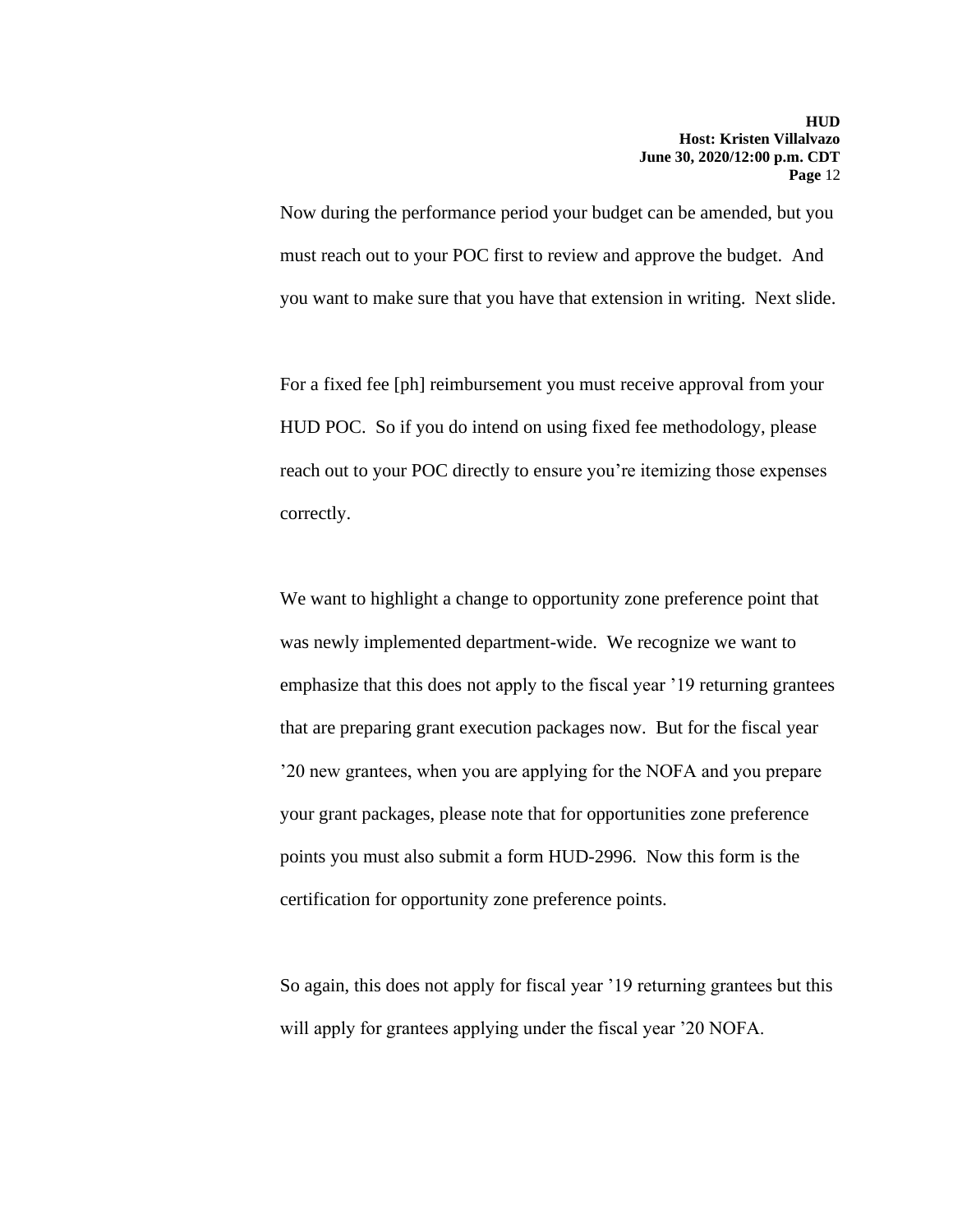Now during the performance period your budget can be amended, but you must reach out to your POC first to review and approve the budget. And you want to make sure that you have that extension in writing. Next slide.

For a fixed fee [ph] reimbursement you must receive approval from your HUD POC. So if you do intend on using fixed fee methodology, please reach out to your POC directly to ensure you're itemizing those expenses correctly.

We want to highlight a change to opportunity zone preference point that was newly implemented department-wide. We recognize we want to emphasize that this does not apply to the fiscal year '19 returning grantees that are preparing grant execution packages now. But for the fiscal year '20 new grantees, when you are applying for the NOFA and you prepare your grant packages, please note that for opportunities zone preference points you must also submit a form HUD-2996. Now this form is the certification for opportunity zone preference points.

So again, this does not apply for fiscal year '19 returning grantees but this will apply for grantees applying under the fiscal year '20 NOFA.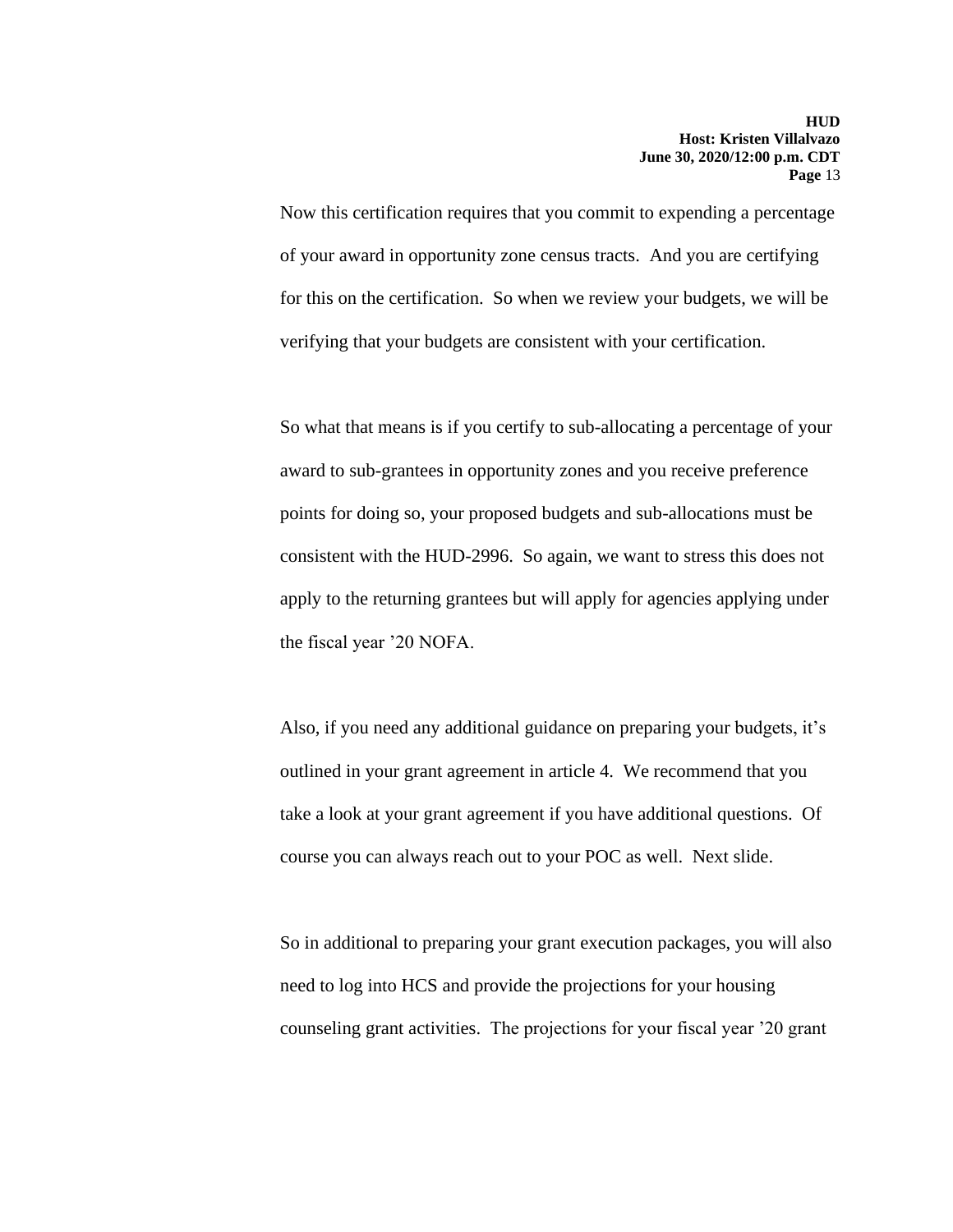Now this certification requires that you commit to expending a percentage of your award in opportunity zone census tracts. And you are certifying for this on the certification. So when we review your budgets, we will be verifying that your budgets are consistent with your certification.

So what that means is if you certify to sub-allocating a percentage of your award to sub-grantees in opportunity zones and you receive preference points for doing so, your proposed budgets and sub-allocations must be consistent with the HUD-2996. So again, we want to stress this does not apply to the returning grantees but will apply for agencies applying under the fiscal year '20 NOFA.

Also, if you need any additional guidance on preparing your budgets, it's outlined in your grant agreement in article 4. We recommend that you take a look at your grant agreement if you have additional questions. Of course you can always reach out to your POC as well. Next slide.

So in additional to preparing your grant execution packages, you will also need to log into HCS and provide the projections for your housing counseling grant activities. The projections for your fiscal year '20 grant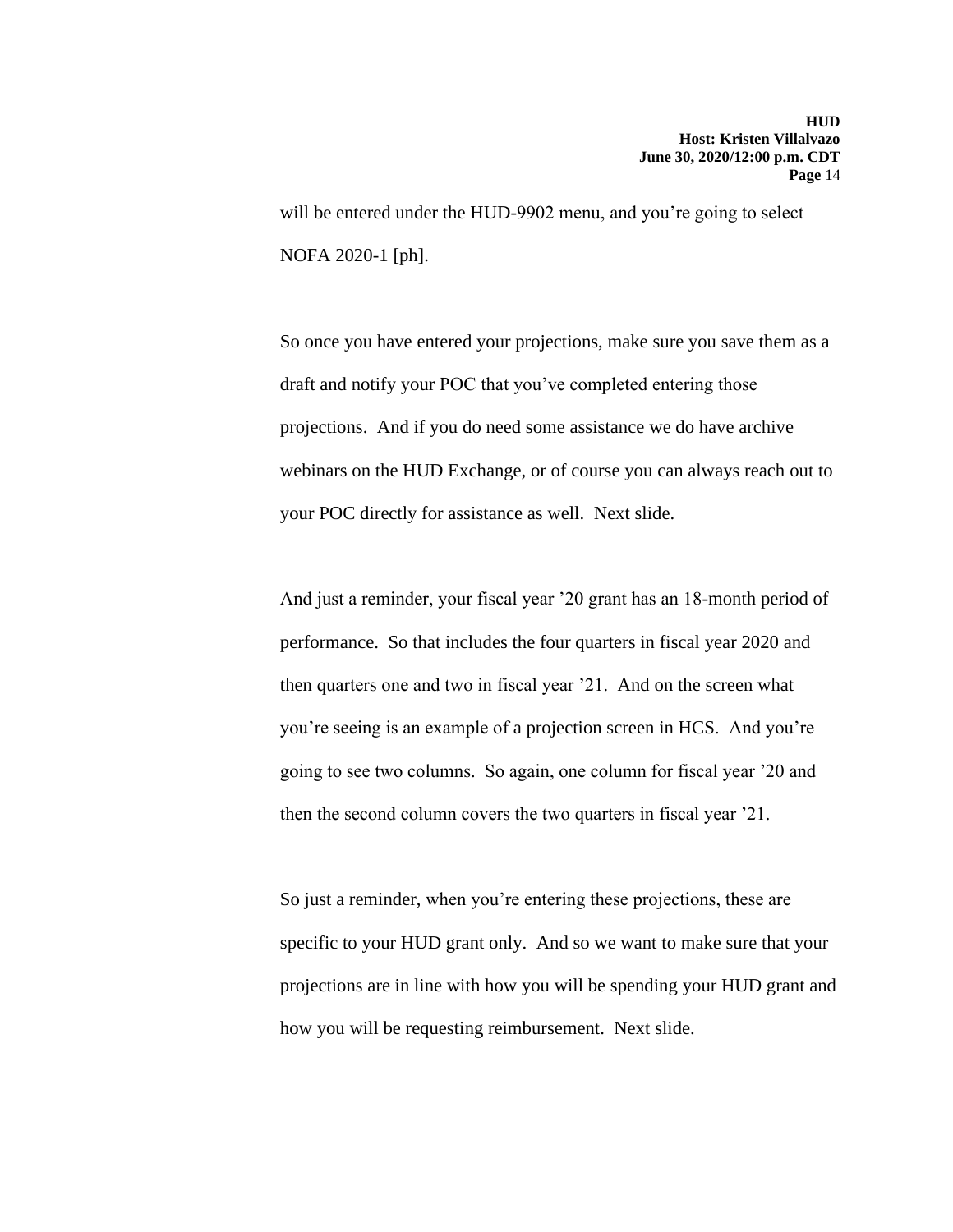will be entered under the HUD-9902 menu, and you're going to select NOFA 2020-1 [ph].

So once you have entered your projections, make sure you save them as a draft and notify your POC that you've completed entering those projections. And if you do need some assistance we do have archive webinars on the HUD Exchange, or of course you can always reach out to your POC directly for assistance as well. Next slide.

And just a reminder, your fiscal year '20 grant has an 18-month period of performance. So that includes the four quarters in fiscal year 2020 and then quarters one and two in fiscal year '21. And on the screen what you're seeing is an example of a projection screen in HCS. And you're going to see two columns. So again, one column for fiscal year '20 and then the second column covers the two quarters in fiscal year '21.

So just a reminder, when you're entering these projections, these are specific to your HUD grant only. And so we want to make sure that your projections are in line with how you will be spending your HUD grant and how you will be requesting reimbursement. Next slide.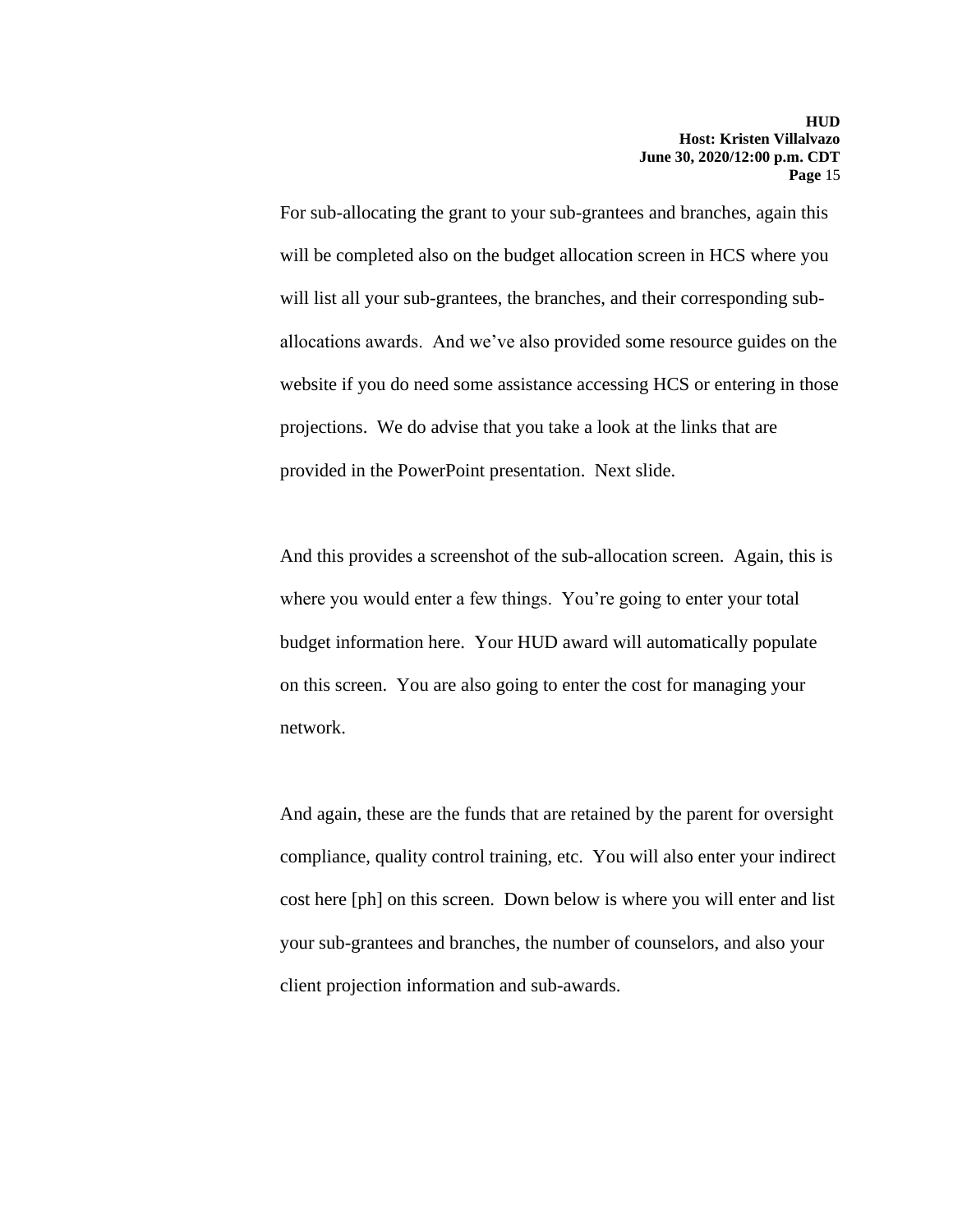For sub-allocating the grant to your sub-grantees and branches, again this will be completed also on the budget allocation screen in HCS where you will list all your sub-grantees, the branches, and their corresponding suballocations awards. And we've also provided some resource guides on the website if you do need some assistance accessing HCS or entering in those projections. We do advise that you take a look at the links that are provided in the PowerPoint presentation. Next slide.

And this provides a screenshot of the sub-allocation screen. Again, this is where you would enter a few things. You're going to enter your total budget information here. Your HUD award will automatically populate on this screen. You are also going to enter the cost for managing your network.

And again, these are the funds that are retained by the parent for oversight compliance, quality control training, etc. You will also enter your indirect cost here [ph] on this screen. Down below is where you will enter and list your sub-grantees and branches, the number of counselors, and also your client projection information and sub-awards.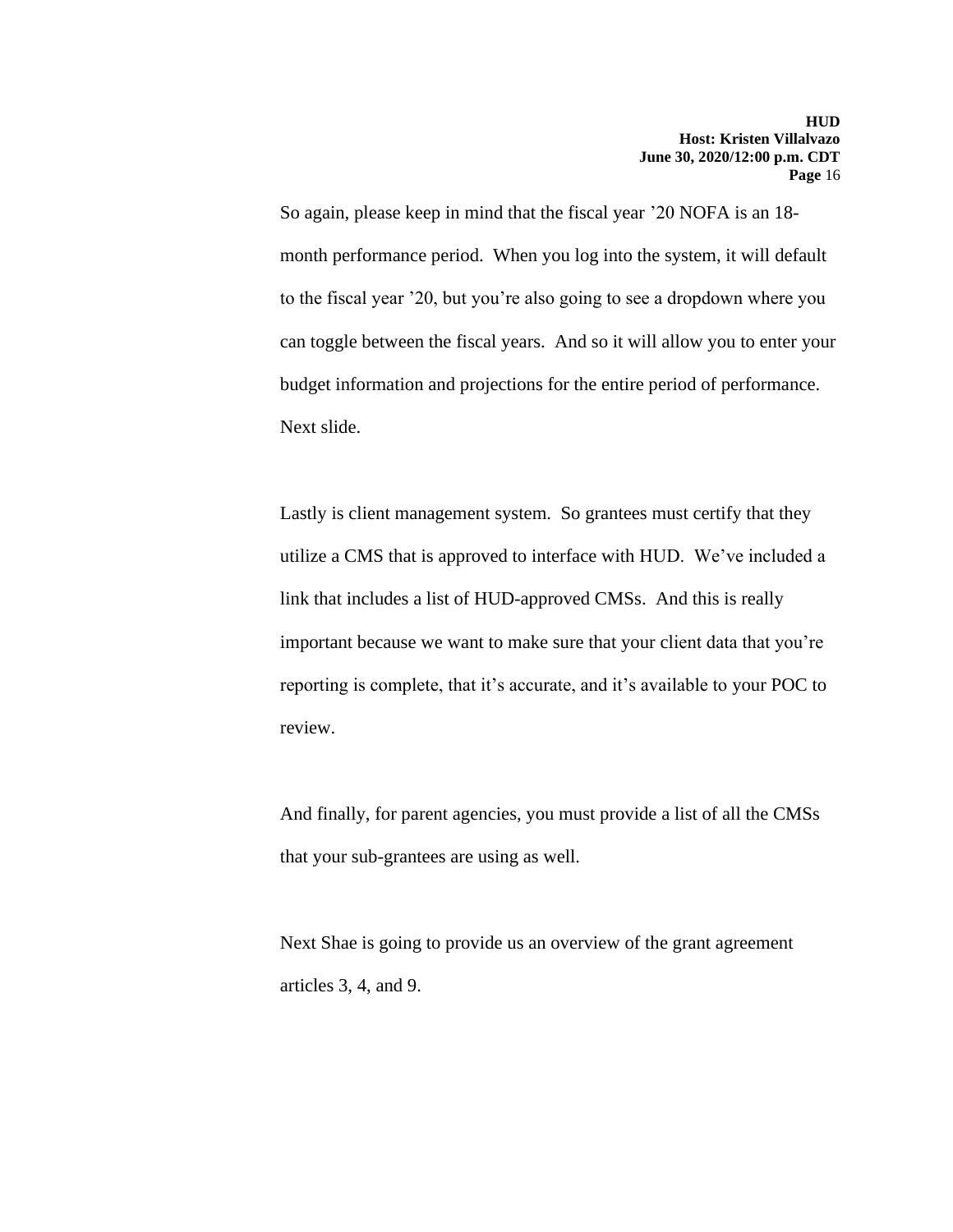So again, please keep in mind that the fiscal year '20 NOFA is an 18 month performance period. When you log into the system, it will default to the fiscal year '20, but you're also going to see a dropdown where you can toggle between the fiscal years. And so it will allow you to enter your budget information and projections for the entire period of performance. Next slide.

Lastly is client management system. So grantees must certify that they utilize a CMS that is approved to interface with HUD. We've included a link that includes a list of HUD-approved CMSs. And this is really important because we want to make sure that your client data that you're reporting is complete, that it's accurate, and it's available to your POC to review.

And finally, for parent agencies, you must provide a list of all the CMSs that your sub-grantees are using as well.

Next Shae is going to provide us an overview of the grant agreement articles 3, 4, and 9.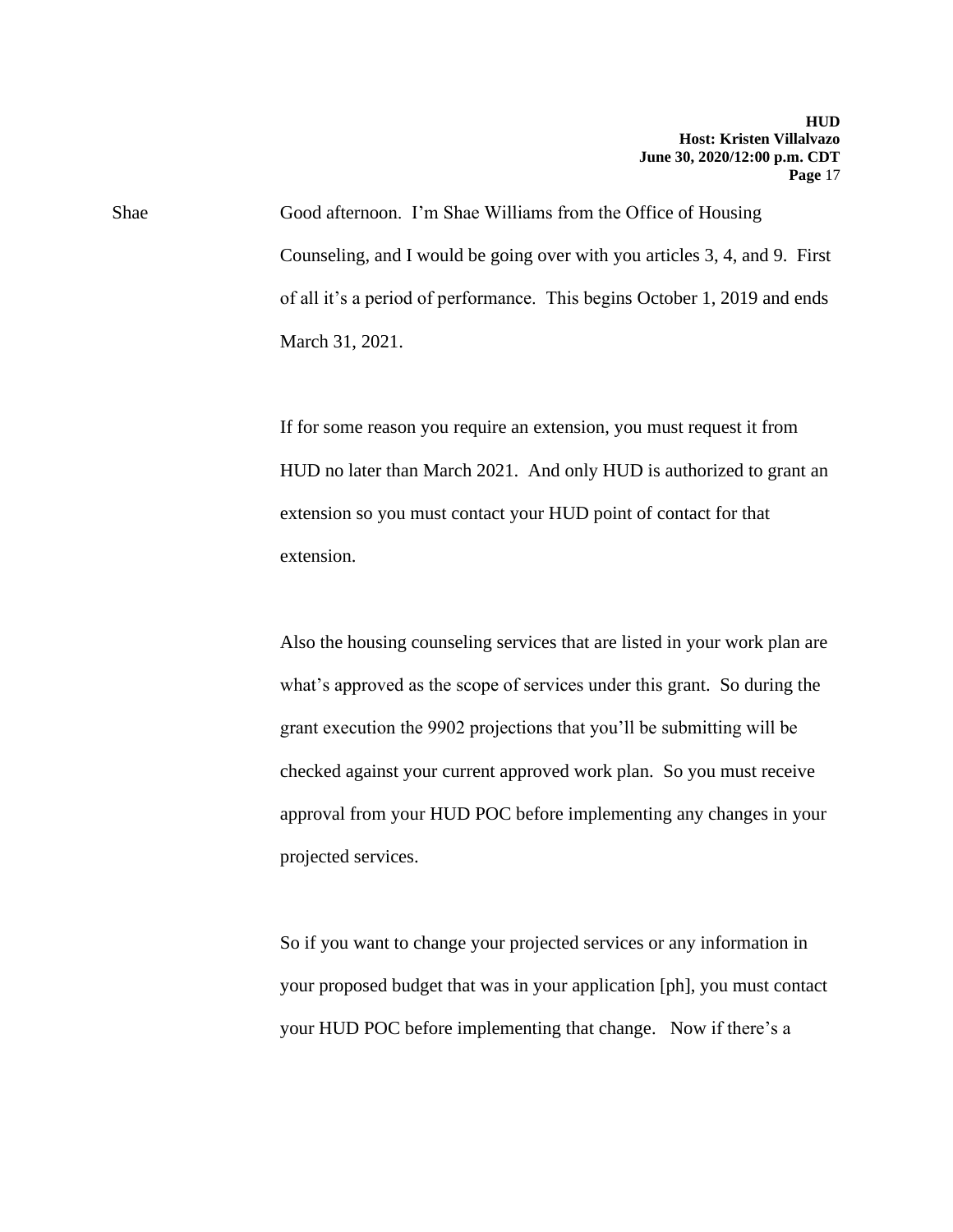Shae Good afternoon. I'm Shae Williams from the Office of Housing Counseling, and I would be going over with you articles 3, 4, and 9. First of all it's a period of performance. This begins October 1, 2019 and ends March 31, 2021.

> If for some reason you require an extension, you must request it from HUD no later than March 2021. And only HUD is authorized to grant an extension so you must contact your HUD point of contact for that extension.

> Also the housing counseling services that are listed in your work plan are what's approved as the scope of services under this grant. So during the grant execution the 9902 projections that you'll be submitting will be checked against your current approved work plan. So you must receive approval from your HUD POC before implementing any changes in your projected services.

> So if you want to change your projected services or any information in your proposed budget that was in your application [ph], you must contact your HUD POC before implementing that change. Now if there's a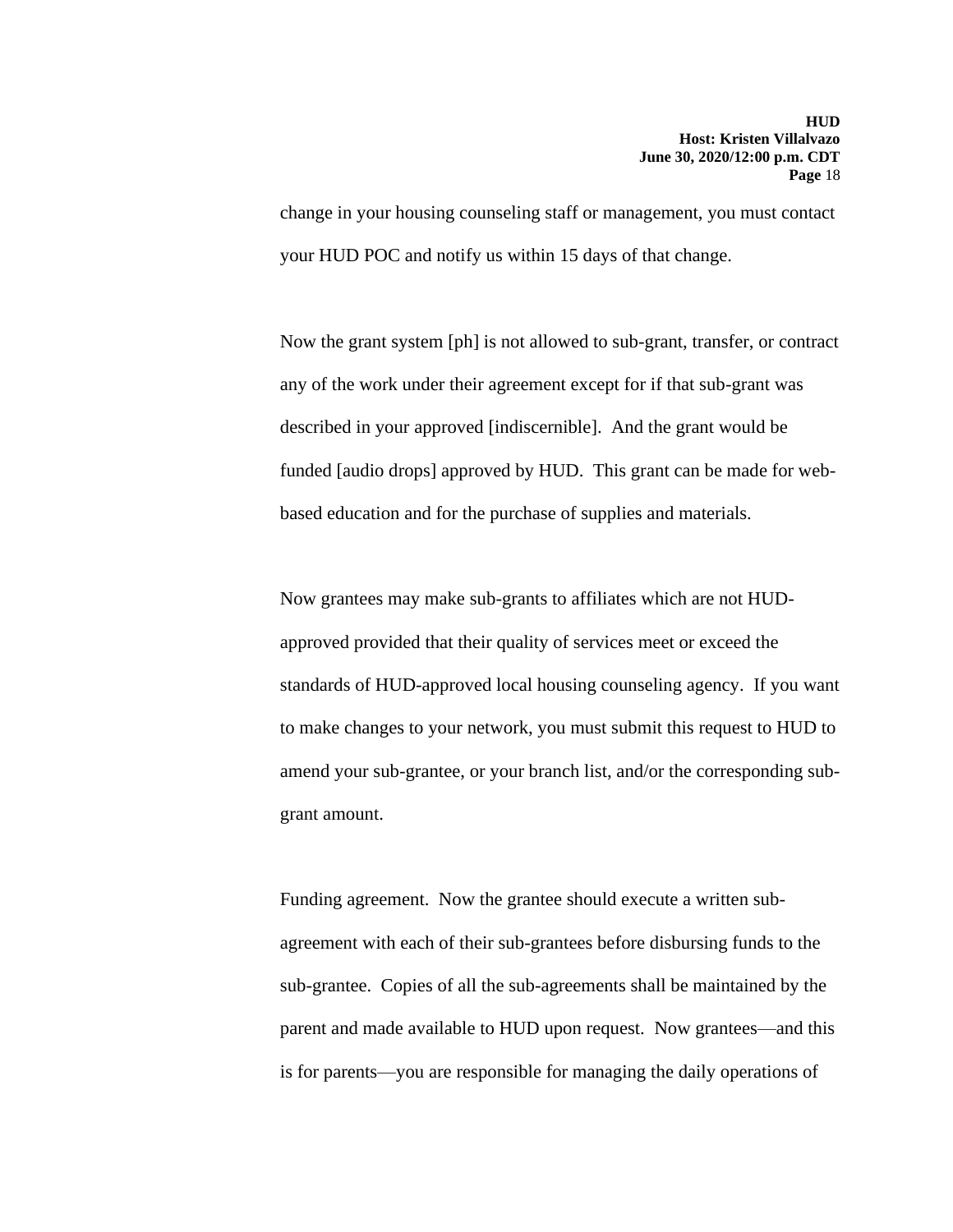change in your housing counseling staff or management, you must contact your HUD POC and notify us within 15 days of that change.

Now the grant system [ph] is not allowed to sub-grant, transfer, or contract any of the work under their agreement except for if that sub-grant was described in your approved [indiscernible]. And the grant would be funded [audio drops] approved by HUD. This grant can be made for webbased education and for the purchase of supplies and materials.

Now grantees may make sub-grants to affiliates which are not HUDapproved provided that their quality of services meet or exceed the standards of HUD-approved local housing counseling agency. If you want to make changes to your network, you must submit this request to HUD to amend your sub-grantee, or your branch list, and/or the corresponding subgrant amount.

Funding agreement. Now the grantee should execute a written subagreement with each of their sub-grantees before disbursing funds to the sub-grantee. Copies of all the sub-agreements shall be maintained by the parent and made available to HUD upon request. Now grantees—and this is for parents—you are responsible for managing the daily operations of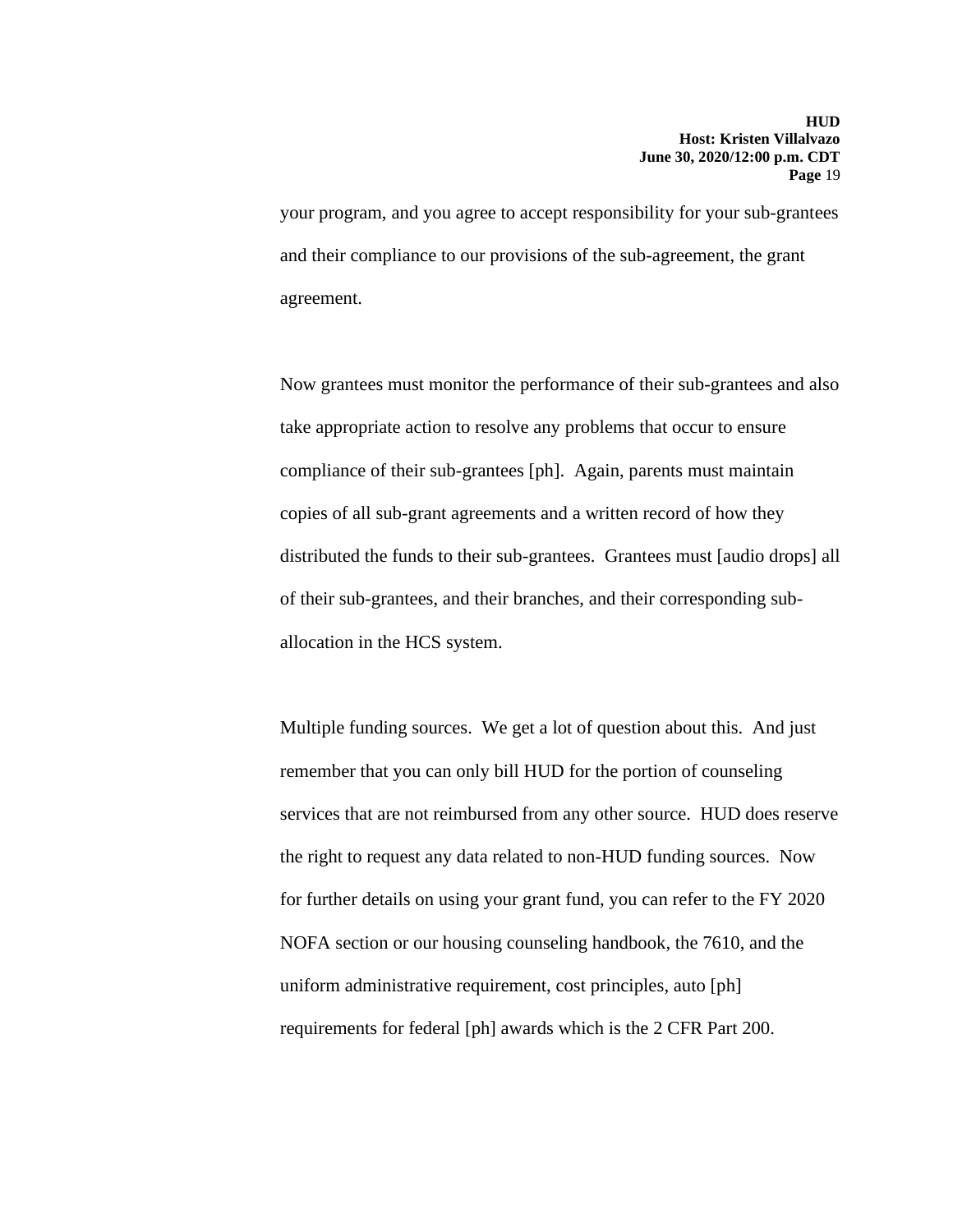your program, and you agree to accept responsibility for your sub-grantees and their compliance to our provisions of the sub-agreement, the grant agreement.

Now grantees must monitor the performance of their sub-grantees and also take appropriate action to resolve any problems that occur to ensure compliance of their sub-grantees [ph]. Again, parents must maintain copies of all sub-grant agreements and a written record of how they distributed the funds to their sub-grantees. Grantees must [audio drops] all of their sub-grantees, and their branches, and their corresponding suballocation in the HCS system.

Multiple funding sources. We get a lot of question about this. And just remember that you can only bill HUD for the portion of counseling services that are not reimbursed from any other source. HUD does reserve the right to request any data related to non-HUD funding sources. Now for further details on using your grant fund, you can refer to the FY 2020 NOFA section or our housing counseling handbook, the 7610, and the uniform administrative requirement, cost principles, auto [ph] requirements for federal [ph] awards which is the 2 CFR Part 200.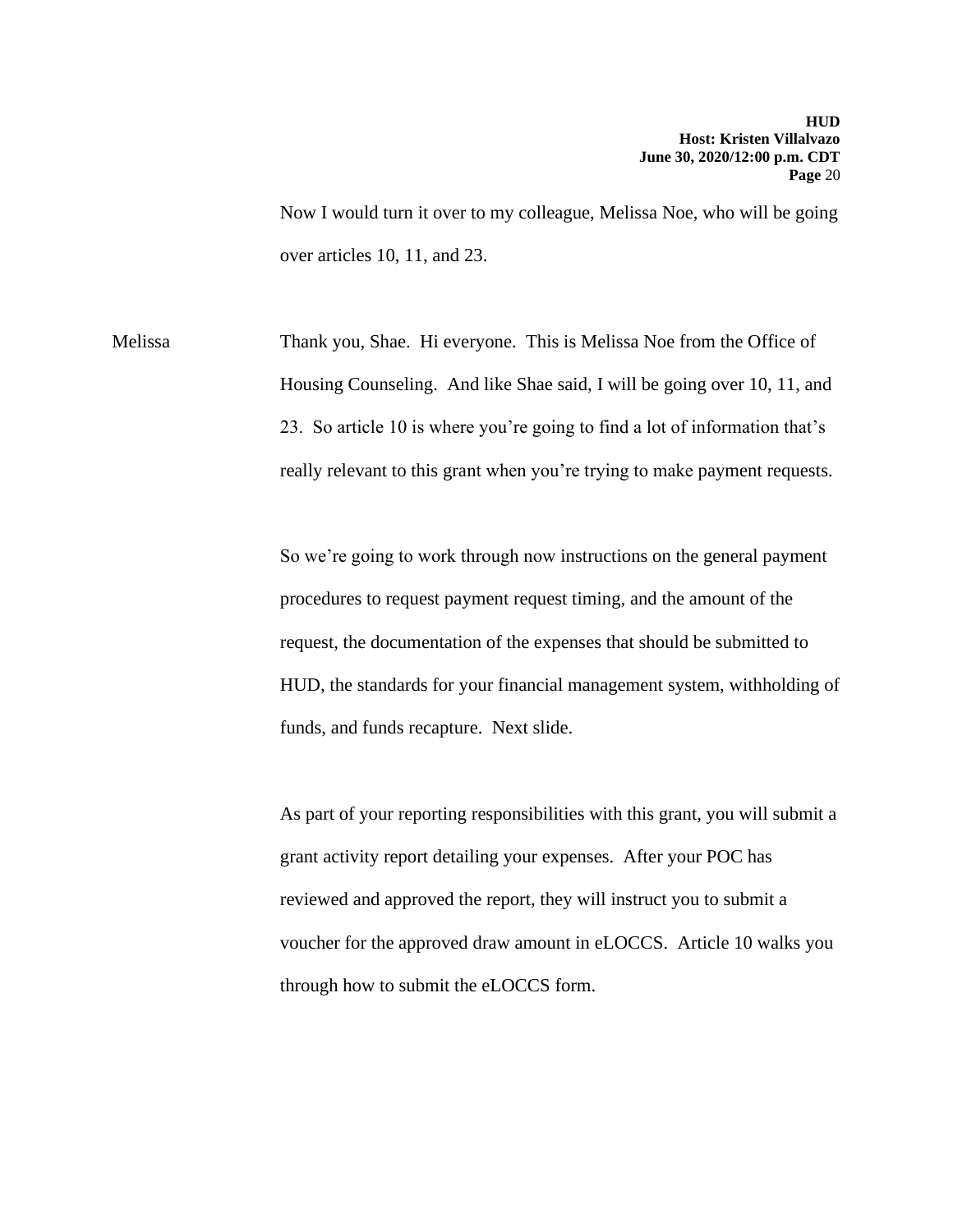Now I would turn it over to my colleague, Melissa Noe, who will be going over articles 10, 11, and 23.

Melissa Thank you, Shae. Hi everyone. This is Melissa Noe from the Office of Housing Counseling. And like Shae said, I will be going over 10, 11, and 23. So article 10 is where you're going to find a lot of information that's really relevant to this grant when you're trying to make payment requests.

> So we're going to work through now instructions on the general payment procedures to request payment request timing, and the amount of the request, the documentation of the expenses that should be submitted to HUD, the standards for your financial management system, withholding of funds, and funds recapture. Next slide.

> As part of your reporting responsibilities with this grant, you will submit a grant activity report detailing your expenses. After your POC has reviewed and approved the report, they will instruct you to submit a voucher for the approved draw amount in eLOCCS. Article 10 walks you through how to submit the eLOCCS form.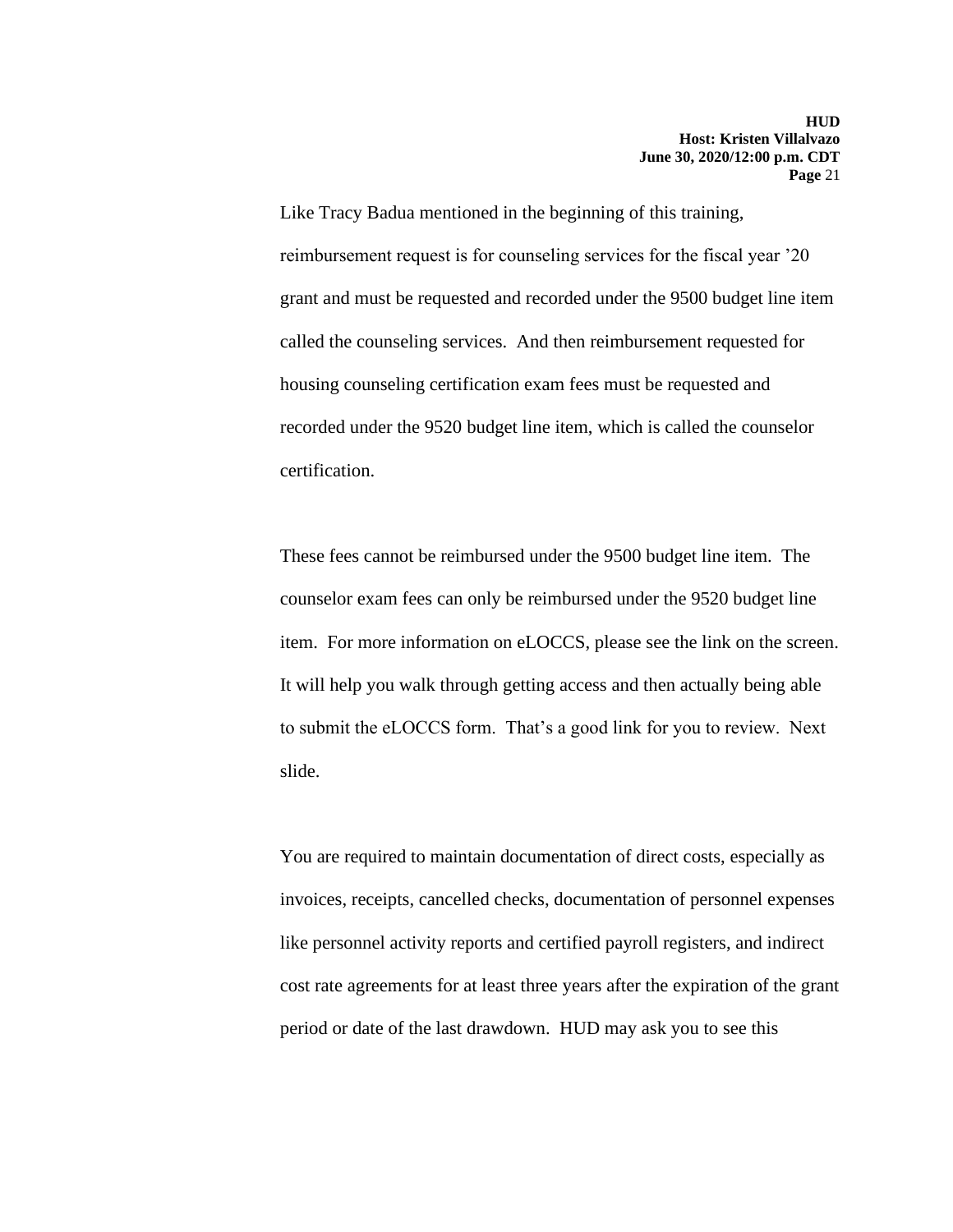Like Tracy Badua mentioned in the beginning of this training, reimbursement request is for counseling services for the fiscal year '20 grant and must be requested and recorded under the 9500 budget line item called the counseling services. And then reimbursement requested for housing counseling certification exam fees must be requested and recorded under the 9520 budget line item, which is called the counselor certification.

These fees cannot be reimbursed under the 9500 budget line item. The counselor exam fees can only be reimbursed under the 9520 budget line item. For more information on eLOCCS, please see the link on the screen. It will help you walk through getting access and then actually being able to submit the eLOCCS form. That's a good link for you to review. Next slide.

You are required to maintain documentation of direct costs, especially as invoices, receipts, cancelled checks, documentation of personnel expenses like personnel activity reports and certified payroll registers, and indirect cost rate agreements for at least three years after the expiration of the grant period or date of the last drawdown. HUD may ask you to see this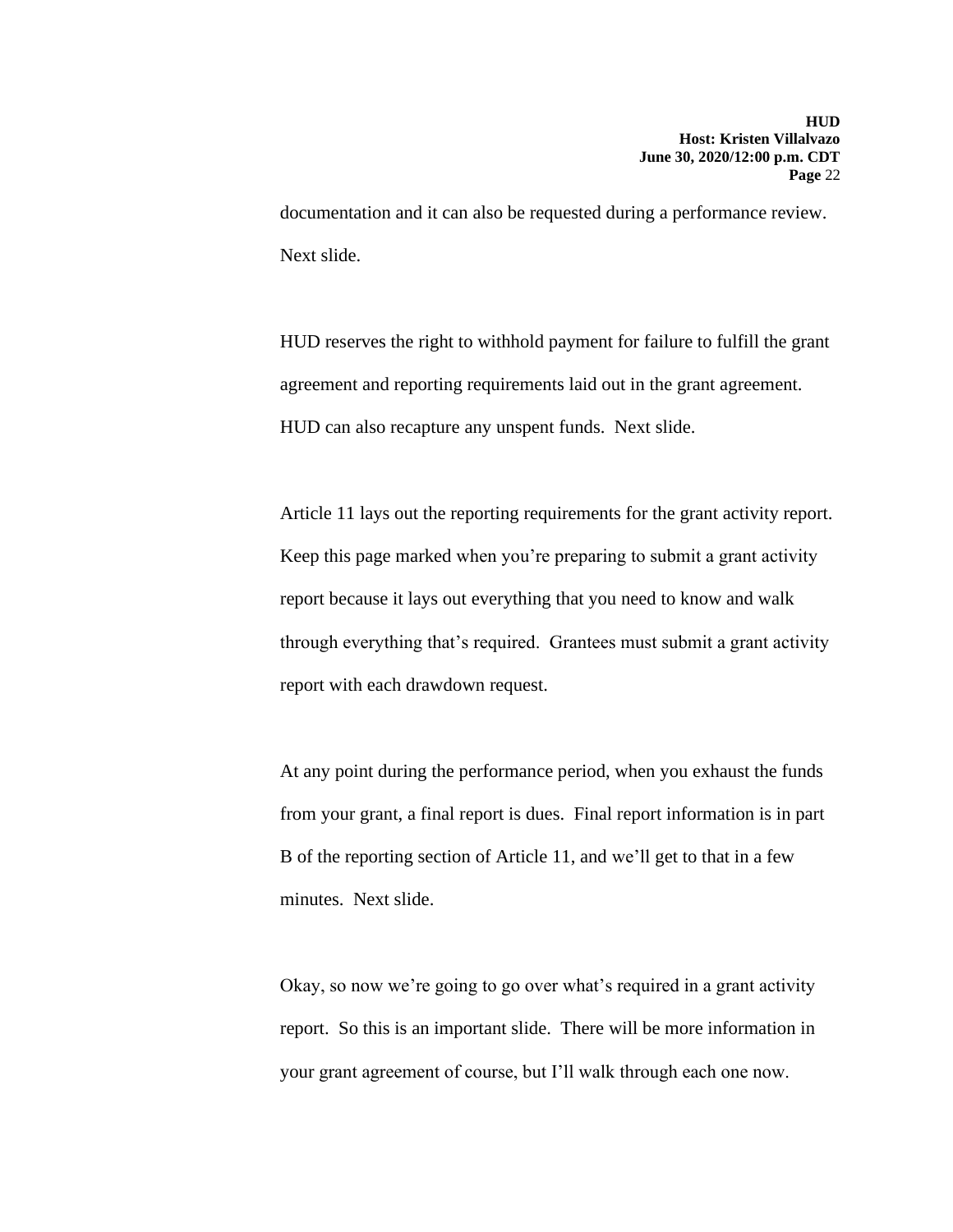documentation and it can also be requested during a performance review. Next slide.

HUD reserves the right to withhold payment for failure to fulfill the grant agreement and reporting requirements laid out in the grant agreement. HUD can also recapture any unspent funds. Next slide.

Article 11 lays out the reporting requirements for the grant activity report. Keep this page marked when you're preparing to submit a grant activity report because it lays out everything that you need to know and walk through everything that's required. Grantees must submit a grant activity report with each drawdown request.

At any point during the performance period, when you exhaust the funds from your grant, a final report is dues. Final report information is in part B of the reporting section of Article 11, and we'll get to that in a few minutes. Next slide.

Okay, so now we're going to go over what's required in a grant activity report. So this is an important slide. There will be more information in your grant agreement of course, but I'll walk through each one now.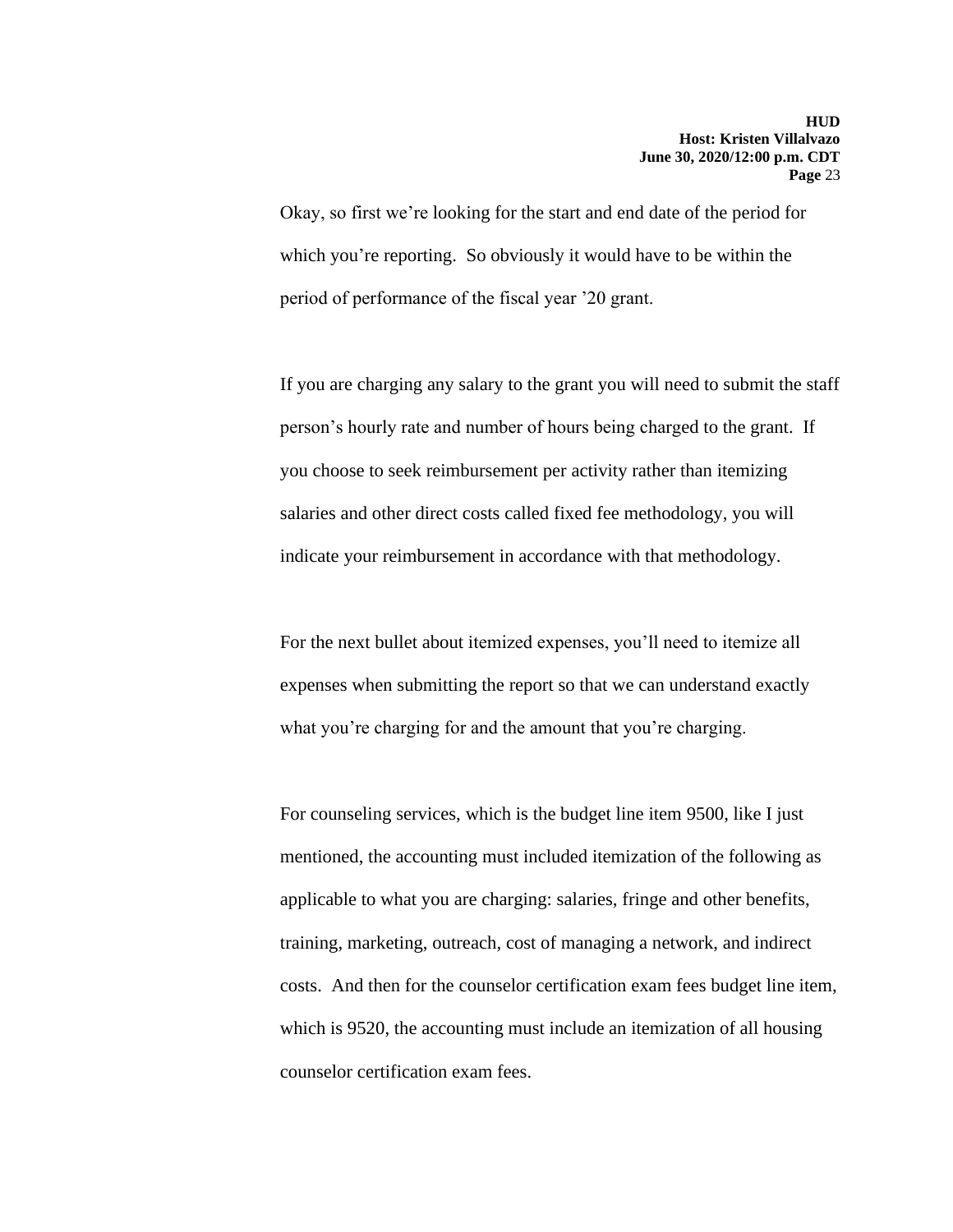Okay, so first we're looking for the start and end date of the period for which you're reporting. So obviously it would have to be within the period of performance of the fiscal year '20 grant.

If you are charging any salary to the grant you will need to submit the staff person's hourly rate and number of hours being charged to the grant. If you choose to seek reimbursement per activity rather than itemizing salaries and other direct costs called fixed fee methodology, you will indicate your reimbursement in accordance with that methodology.

For the next bullet about itemized expenses, you'll need to itemize all expenses when submitting the report so that we can understand exactly what you're charging for and the amount that you're charging.

For counseling services, which is the budget line item 9500, like I just mentioned, the accounting must included itemization of the following as applicable to what you are charging: salaries, fringe and other benefits, training, marketing, outreach, cost of managing a network, and indirect costs. And then for the counselor certification exam fees budget line item, which is 9520, the accounting must include an itemization of all housing counselor certification exam fees.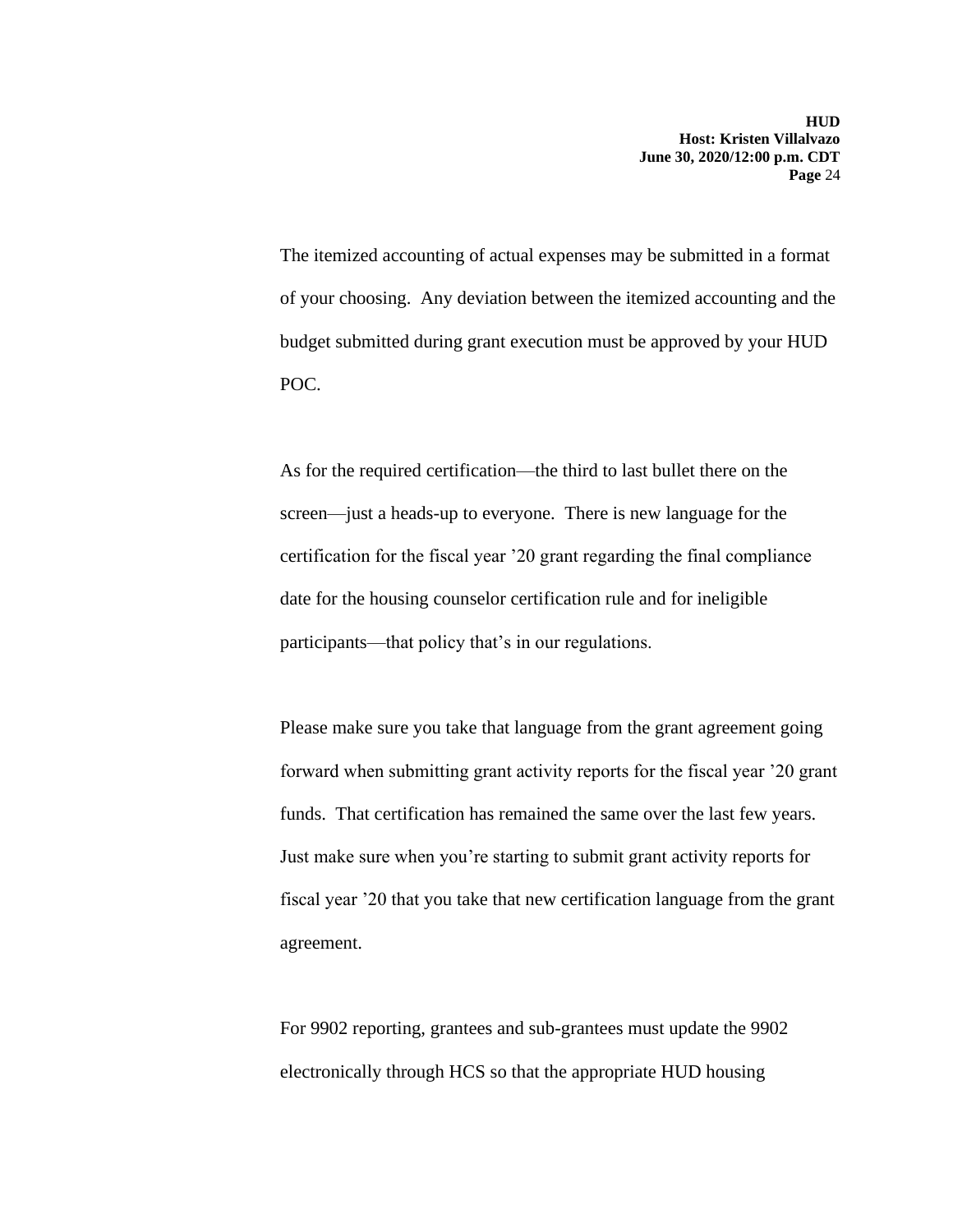The itemized accounting of actual expenses may be submitted in a format of your choosing. Any deviation between the itemized accounting and the budget submitted during grant execution must be approved by your HUD POC.

As for the required certification—the third to last bullet there on the screen—just a heads-up to everyone. There is new language for the certification for the fiscal year '20 grant regarding the final compliance date for the housing counselor certification rule and for ineligible participants—that policy that's in our regulations.

Please make sure you take that language from the grant agreement going forward when submitting grant activity reports for the fiscal year '20 grant funds. That certification has remained the same over the last few years. Just make sure when you're starting to submit grant activity reports for fiscal year '20 that you take that new certification language from the grant agreement.

For 9902 reporting, grantees and sub-grantees must update the 9902 electronically through HCS so that the appropriate HUD housing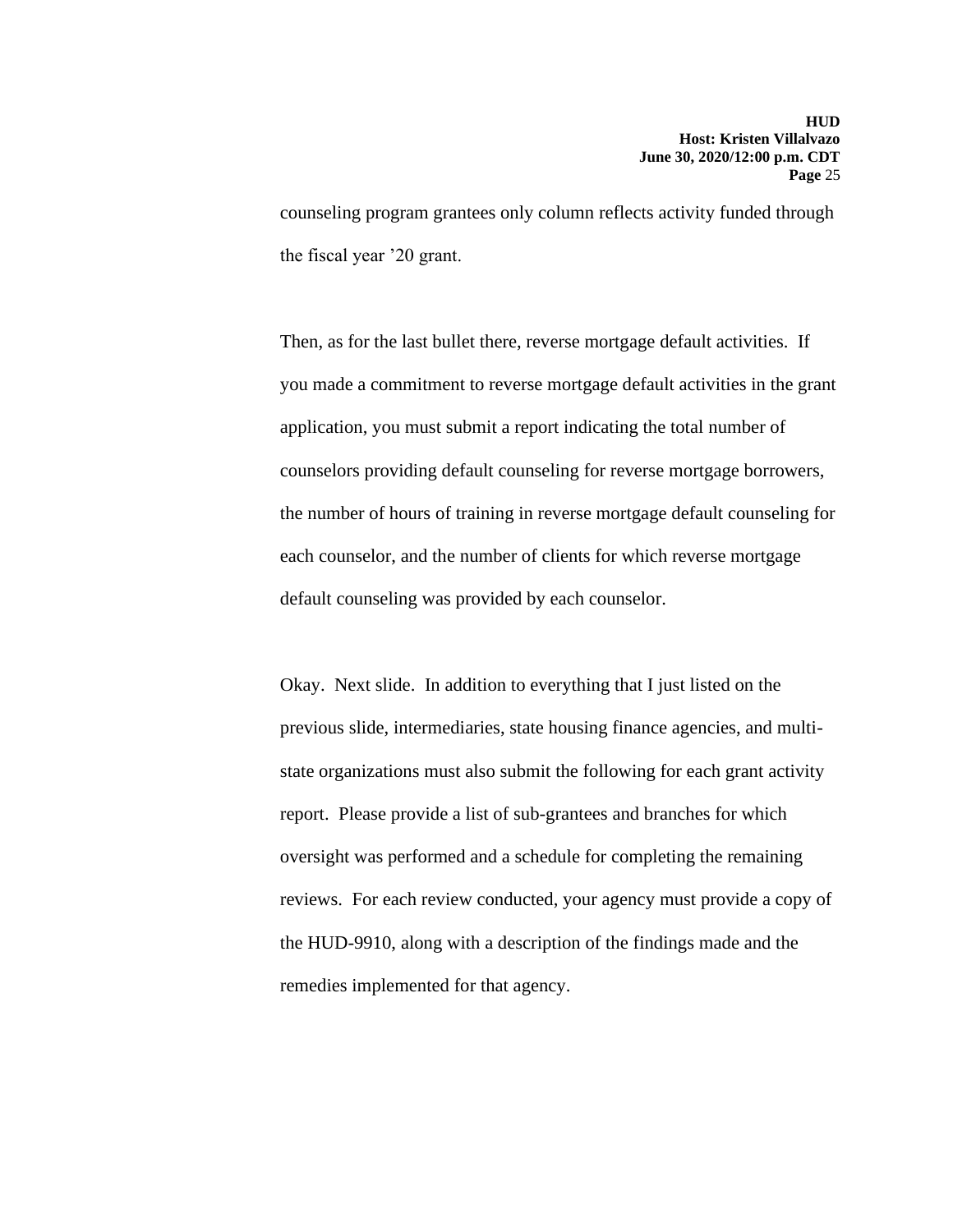counseling program grantees only column reflects activity funded through the fiscal year '20 grant.

Then, as for the last bullet there, reverse mortgage default activities. If you made a commitment to reverse mortgage default activities in the grant application, you must submit a report indicating the total number of counselors providing default counseling for reverse mortgage borrowers, the number of hours of training in reverse mortgage default counseling for each counselor, and the number of clients for which reverse mortgage default counseling was provided by each counselor.

Okay. Next slide. In addition to everything that I just listed on the previous slide, intermediaries, state housing finance agencies, and multistate organizations must also submit the following for each grant activity report. Please provide a list of sub-grantees and branches for which oversight was performed and a schedule for completing the remaining reviews. For each review conducted, your agency must provide a copy of the HUD-9910, along with a description of the findings made and the remedies implemented for that agency.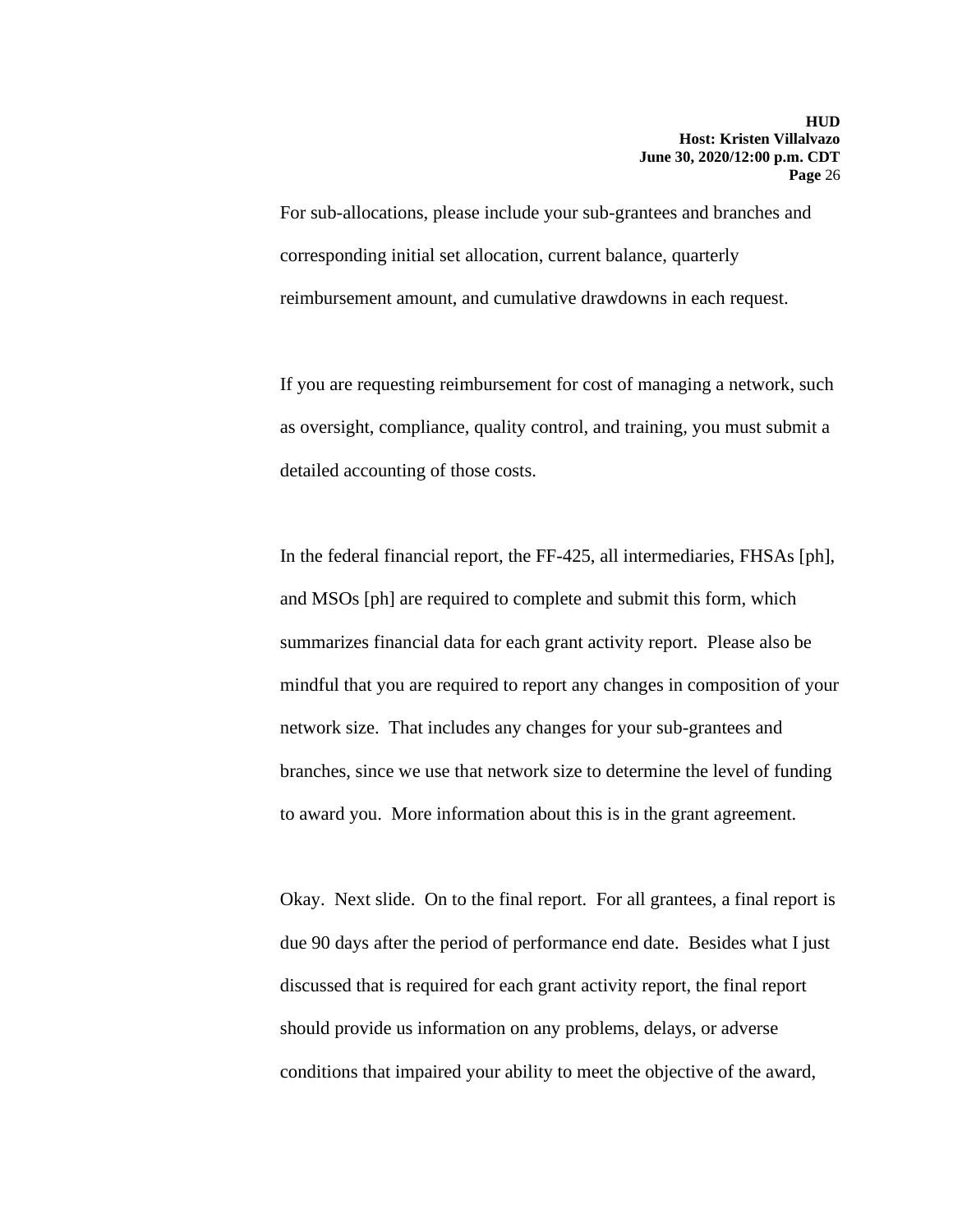For sub-allocations, please include your sub-grantees and branches and corresponding initial set allocation, current balance, quarterly reimbursement amount, and cumulative drawdowns in each request.

If you are requesting reimbursement for cost of managing a network, such as oversight, compliance, quality control, and training, you must submit a detailed accounting of those costs.

In the federal financial report, the FF-425, all intermediaries, FHSAs [ph], and MSOs [ph] are required to complete and submit this form, which summarizes financial data for each grant activity report. Please also be mindful that you are required to report any changes in composition of your network size. That includes any changes for your sub-grantees and branches, since we use that network size to determine the level of funding to award you. More information about this is in the grant agreement.

Okay. Next slide. On to the final report. For all grantees, a final report is due 90 days after the period of performance end date. Besides what I just discussed that is required for each grant activity report, the final report should provide us information on any problems, delays, or adverse conditions that impaired your ability to meet the objective of the award,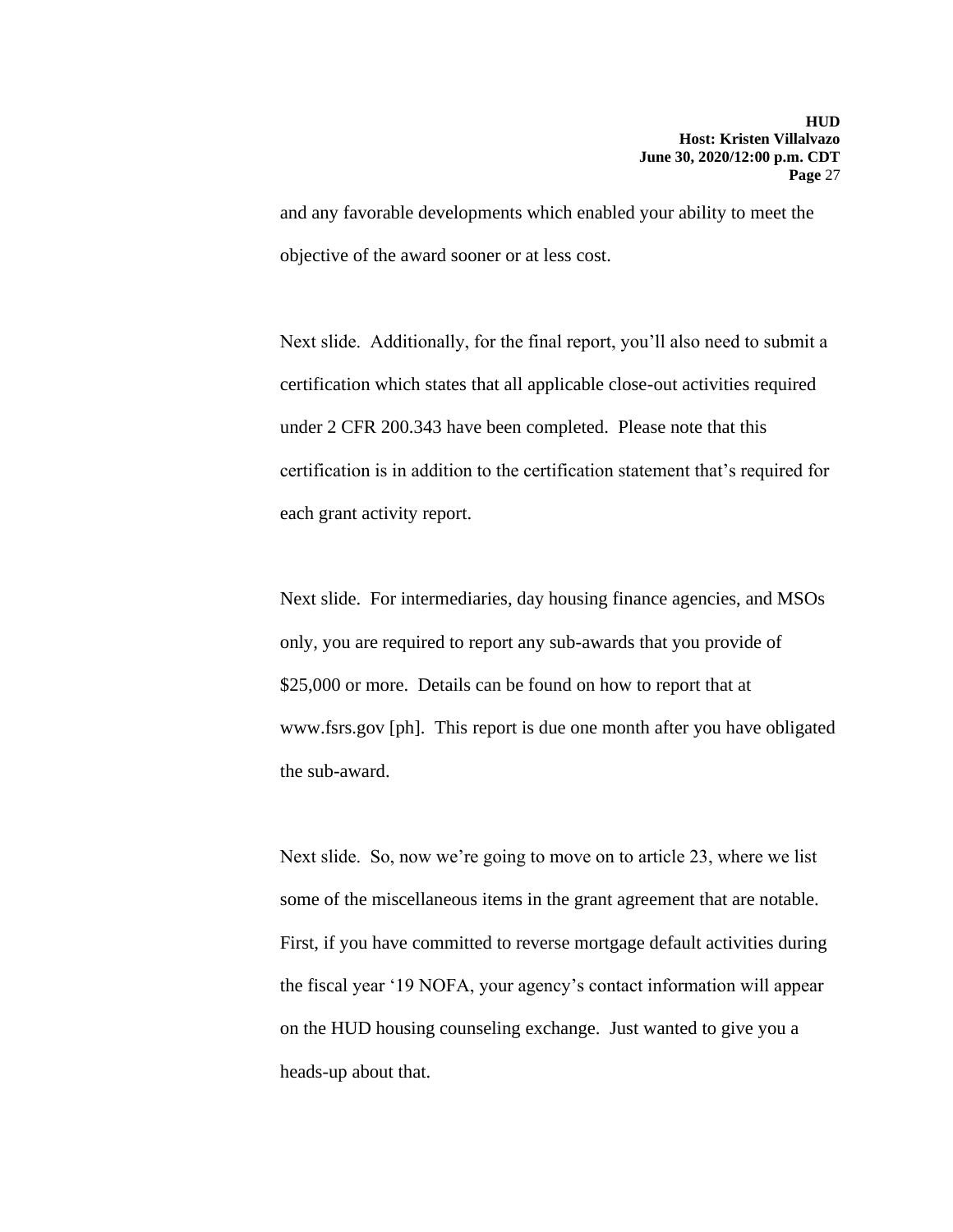and any favorable developments which enabled your ability to meet the objective of the award sooner or at less cost.

Next slide. Additionally, for the final report, you'll also need to submit a certification which states that all applicable close-out activities required under 2 CFR 200.343 have been completed. Please note that this certification is in addition to the certification statement that's required for each grant activity report.

Next slide. For intermediaries, day housing finance agencies, and MSOs only, you are required to report any sub-awards that you provide of \$25,000 or more. Details can be found on how to report that at [www.fsrs.gov](http://www.fsrs.gov/) [ph]. This report is due one month after you have obligated the sub-award.

Next slide. So, now we're going to move on to article 23, where we list some of the miscellaneous items in the grant agreement that are notable. First, if you have committed to reverse mortgage default activities during the fiscal year '19 NOFA, your agency's contact information will appear on the HUD housing counseling exchange. Just wanted to give you a heads-up about that.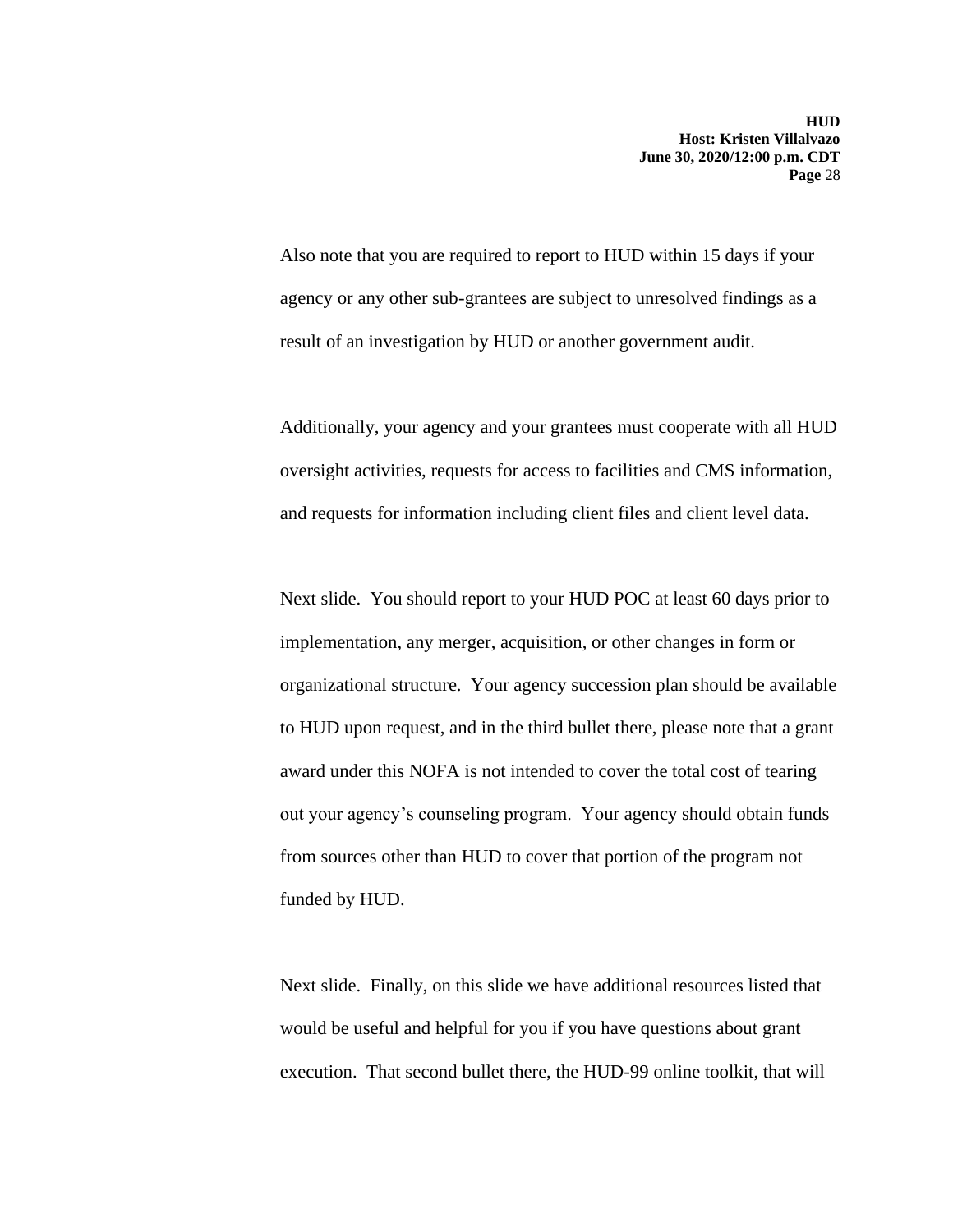Also note that you are required to report to HUD within 15 days if your agency or any other sub-grantees are subject to unresolved findings as a result of an investigation by HUD or another government audit.

Additionally, your agency and your grantees must cooperate with all HUD oversight activities, requests for access to facilities and CMS information, and requests for information including client files and client level data.

Next slide. You should report to your HUD POC at least 60 days prior to implementation, any merger, acquisition, or other changes in form or organizational structure. Your agency succession plan should be available to HUD upon request, and in the third bullet there, please note that a grant award under this NOFA is not intended to cover the total cost of tearing out your agency's counseling program. Your agency should obtain funds from sources other than HUD to cover that portion of the program not funded by HUD.

Next slide. Finally, on this slide we have additional resources listed that would be useful and helpful for you if you have questions about grant execution. That second bullet there, the HUD-99 online toolkit, that will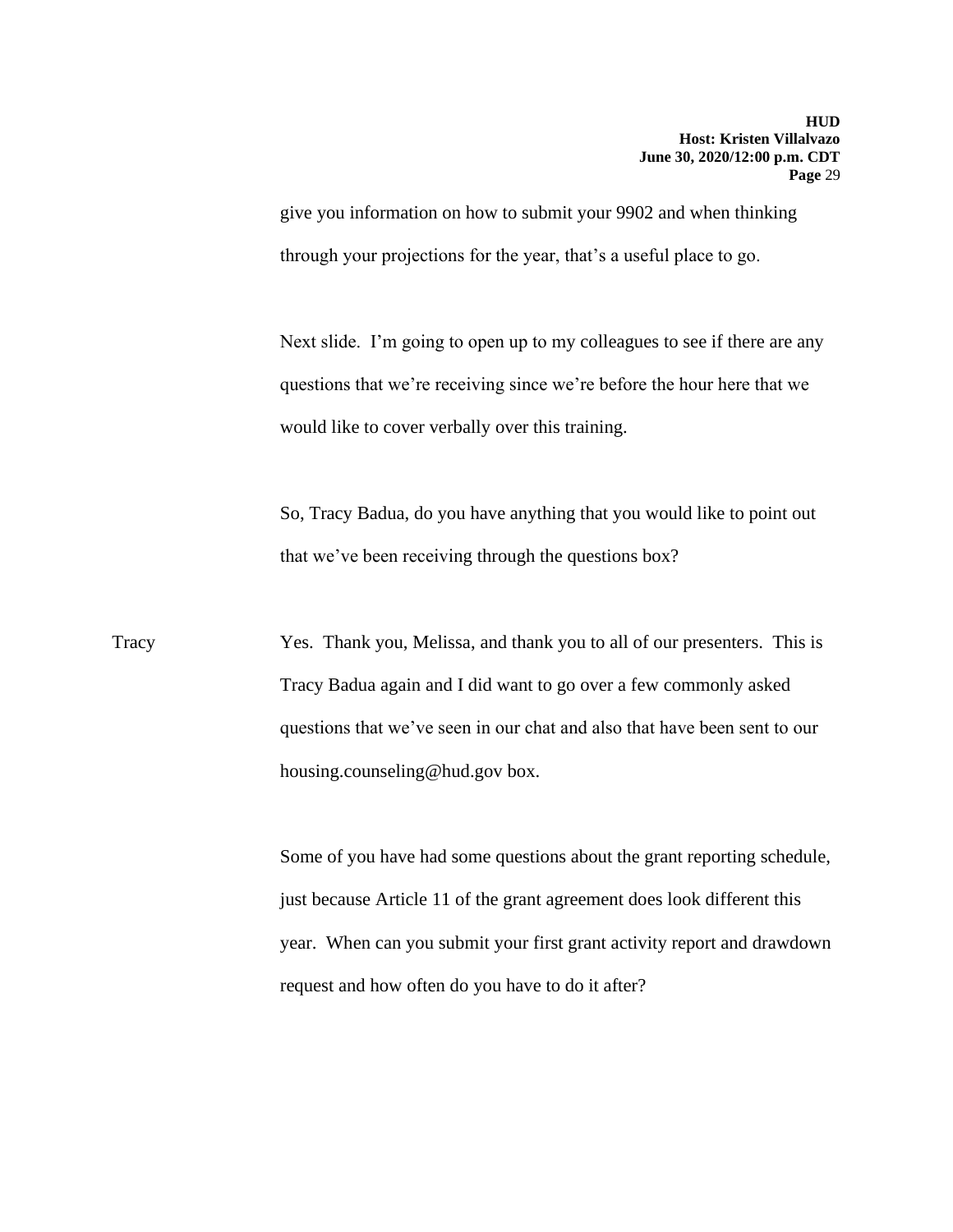give you information on how to submit your 9902 and when thinking through your projections for the year, that's a useful place to go.

Next slide. I'm going to open up to my colleagues to see if there are any questions that we're receiving since we're before the hour here that we would like to cover verbally over this training.

So, Tracy Badua, do you have anything that you would like to point out that we've been receiving through the questions box?

Tracy Yes. Thank you, Melissa, and thank you to all of our presenters. This is Tracy Badua again and I did want to go over a few commonly asked questions that we've seen in our chat and also that have been sent to our [housing.counseling@hud.gov](mailto:housing.counseling@hud.gov) box.

> Some of you have had some questions about the grant reporting schedule, just because Article 11 of the grant agreement does look different this year. When can you submit your first grant activity report and drawdown request and how often do you have to do it after?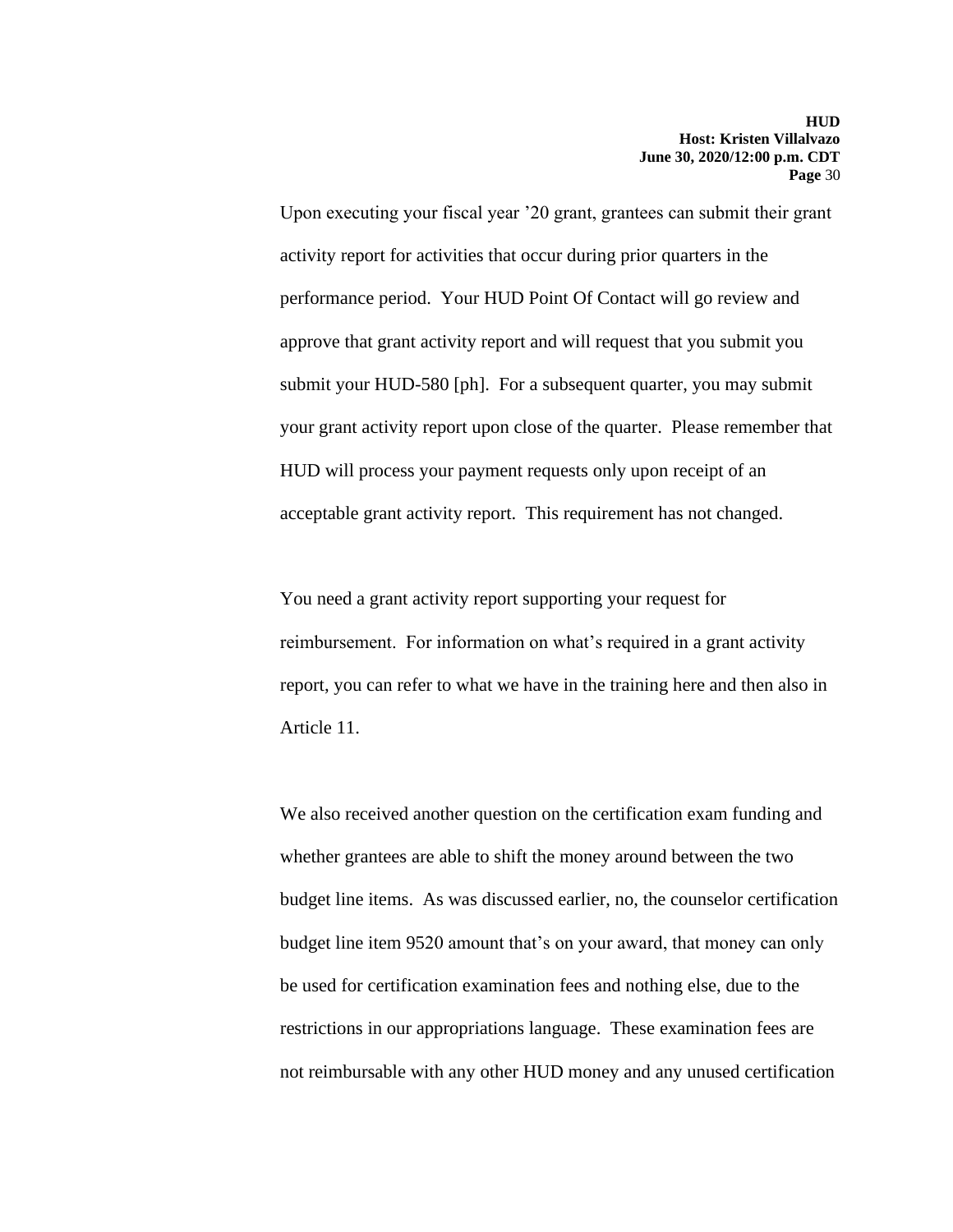Upon executing your fiscal year '20 grant, grantees can submit their grant activity report for activities that occur during prior quarters in the performance period. Your HUD Point Of Contact will go review and approve that grant activity report and will request that you submit you submit your HUD-580 [ph]. For a subsequent quarter, you may submit your grant activity report upon close of the quarter. Please remember that HUD will process your payment requests only upon receipt of an acceptable grant activity report. This requirement has not changed.

You need a grant activity report supporting your request for reimbursement. For information on what's required in a grant activity report, you can refer to what we have in the training here and then also in Article 11.

We also received another question on the certification exam funding and whether grantees are able to shift the money around between the two budget line items. As was discussed earlier, no, the counselor certification budget line item 9520 amount that's on your award, that money can only be used for certification examination fees and nothing else, due to the restrictions in our appropriations language. These examination fees are not reimbursable with any other HUD money and any unused certification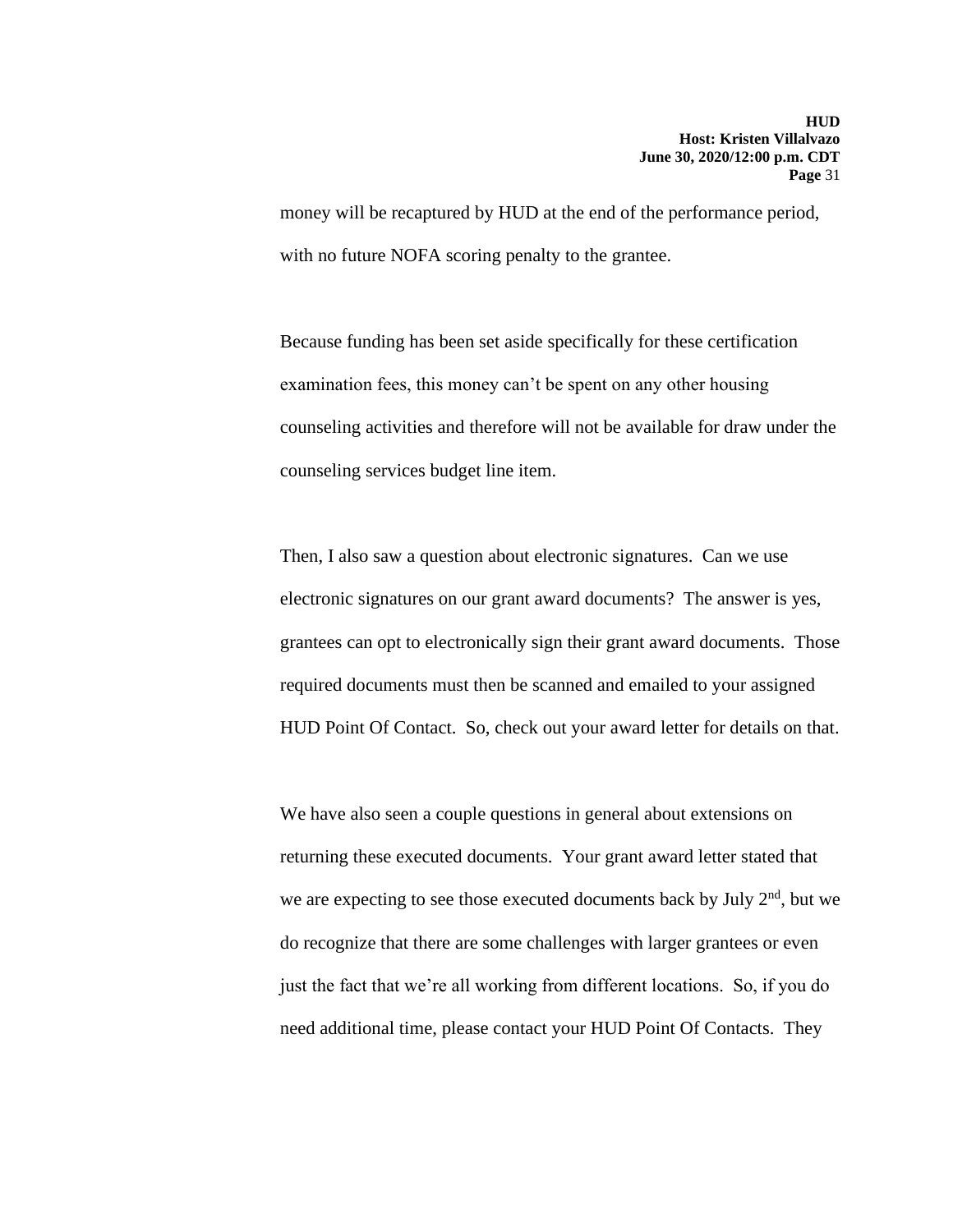money will be recaptured by HUD at the end of the performance period, with no future NOFA scoring penalty to the grantee.

Because funding has been set aside specifically for these certification examination fees, this money can't be spent on any other housing counseling activities and therefore will not be available for draw under the counseling services budget line item.

Then, I also saw a question about electronic signatures. Can we use electronic signatures on our grant award documents? The answer is yes, grantees can opt to electronically sign their grant award documents. Those required documents must then be scanned and emailed to your assigned HUD Point Of Contact. So, check out your award letter for details on that.

We have also seen a couple questions in general about extensions on returning these executed documents. Your grant award letter stated that we are expecting to see those executed documents back by July  $2<sup>nd</sup>$ , but we do recognize that there are some challenges with larger grantees or even just the fact that we're all working from different locations. So, if you do need additional time, please contact your HUD Point Of Contacts. They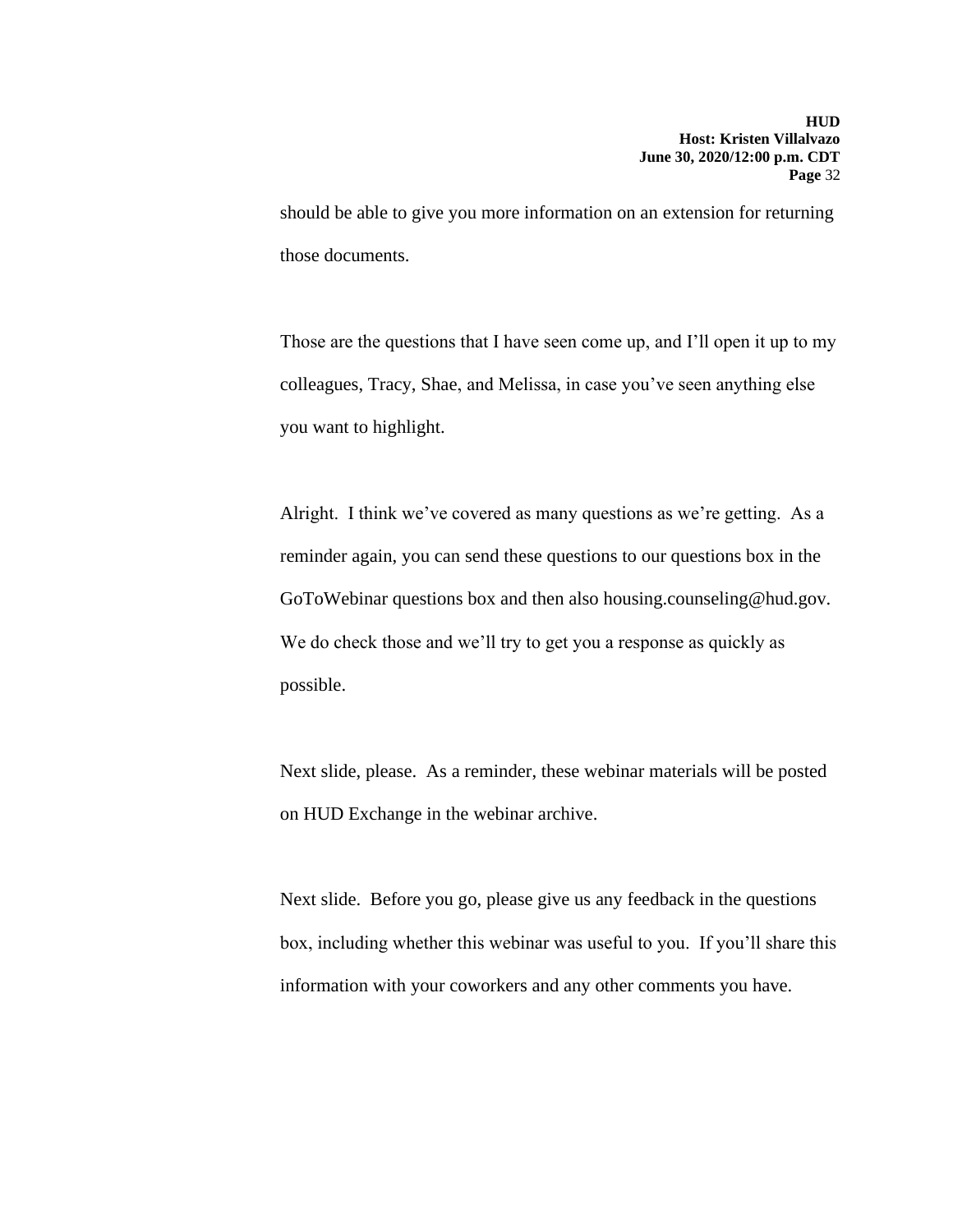should be able to give you more information on an extension for returning those documents.

Those are the questions that I have seen come up, and I'll open it up to my colleagues, Tracy, Shae, and Melissa, in case you've seen anything else you want to highlight.

Alright. I think we've covered as many questions as we're getting. As a reminder again, you can send these questions to our questions box in the GoToWebinar questions box and then also housing[.counseling@hud.gov.](mailto:counseling@hud.gov) We do check those and we'll try to get you a response as quickly as possible.

Next slide, please. As a reminder, these webinar materials will be posted on HUD Exchange in the webinar archive.

Next slide. Before you go, please give us any feedback in the questions box, including whether this webinar was useful to you. If you'll share this information with your coworkers and any other comments you have.